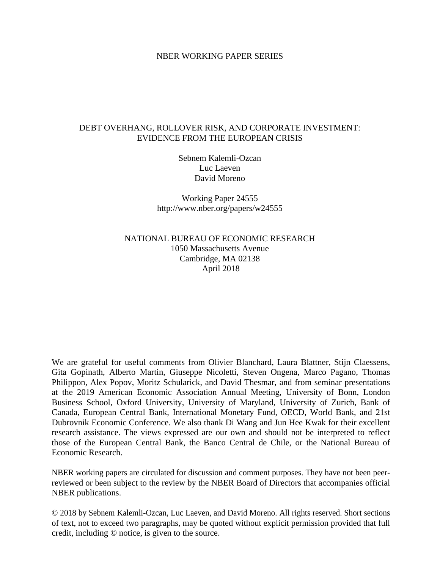#### NBER WORKING PAPER SERIES

#### DEBT OVERHANG, ROLLOVER RISK, AND CORPORATE INVESTMENT: EVIDENCE FROM THE EUROPEAN CRISIS

Sebnem Kalemli-Ozcan Luc Laeven David Moreno

Working Paper 24555 http://www.nber.org/papers/w24555

NATIONAL BUREAU OF ECONOMIC RESEARCH 1050 Massachusetts Avenue Cambridge, MA 02138 April 2018

We are grateful for useful comments from Olivier Blanchard, Laura Blattner, Stijn Claessens, Gita Gopinath, Alberto Martin, Giuseppe Nicoletti, Steven Ongena, Marco Pagano, Thomas Philippon, Alex Popov, Moritz Schularick, and David Thesmar, and from seminar presentations at the 2019 American Economic Association Annual Meeting, University of Bonn, London Business School, Oxford University, University of Maryland, University of Zurich, Bank of Canada, European Central Bank, International Monetary Fund, OECD, World Bank, and 21st Dubrovnik Economic Conference. We also thank Di Wang and Jun Hee Kwak for their excellent research assistance. The views expressed are our own and should not be interpreted to reflect those of the European Central Bank, the Banco Central de Chile, or the National Bureau of Economic Research.

NBER working papers are circulated for discussion and comment purposes. They have not been peerreviewed or been subject to the review by the NBER Board of Directors that accompanies official NBER publications.

© 2018 by Sebnem Kalemli-Ozcan, Luc Laeven, and David Moreno. All rights reserved. Short sections of text, not to exceed two paragraphs, may be quoted without explicit permission provided that full credit, including © notice, is given to the source.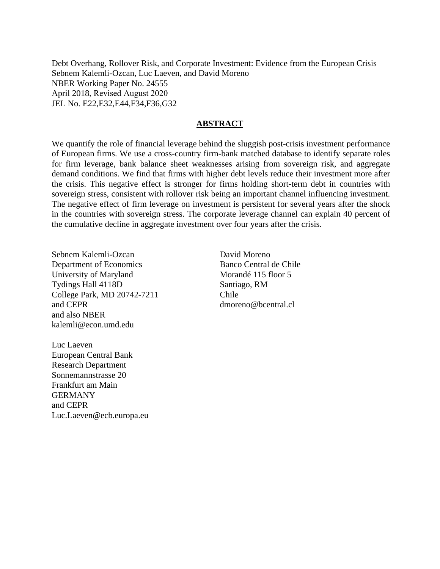Debt Overhang, Rollover Risk, and Corporate Investment: Evidence from the European Crisis Sebnem Kalemli-Ozcan, Luc Laeven, and David Moreno NBER Working Paper No. 24555 April 2018, Revised August 2020 JEL No. E22,E32,E44,F34,F36,G32

#### **ABSTRACT**

We quantify the role of financial leverage behind the sluggish post-crisis investment performance of European firms. We use a cross-country firm-bank matched database to identify separate roles for firm leverage, bank balance sheet weaknesses arising from sovereign risk, and aggregate demand conditions. We find that firms with higher debt levels reduce their investment more after the crisis. This negative effect is stronger for firms holding short-term debt in countries with sovereign stress, consistent with rollover risk being an important channel influencing investment. The negative effect of firm leverage on investment is persistent for several years after the shock in the countries with sovereign stress. The corporate leverage channel can explain 40 percent of the cumulative decline in aggregate investment over four years after the crisis.

Sebnem Kalemli-Ozcan Department of Economics University of Maryland Tydings Hall 4118D College Park, MD 20742-7211 and CEPR and also NBER kalemli@econ.umd.edu

David Moreno Banco Central de Chile Morandé 115 floor 5 Santiago, RM Chile dmoreno@bcentral.cl

Luc Laeven European Central Bank Research Department Sonnemannstrasse 20 Frankfurt am Main **GERMANY** and CEPR Luc.Laeven@ecb.europa.eu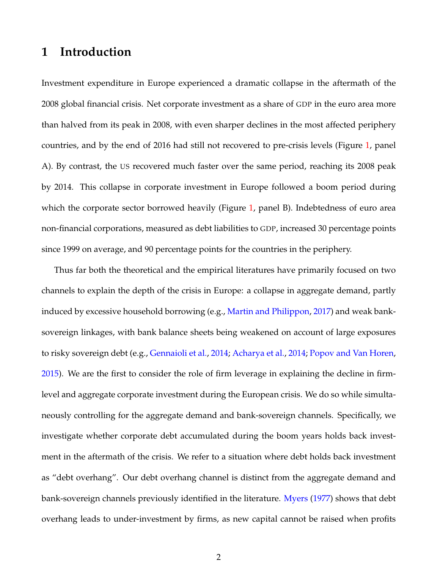# **1 Introduction**

Investment expenditure in Europe experienced a dramatic collapse in the aftermath of the 2008 global financial crisis. Net corporate investment as a share of GDP in the euro area more than halved from its peak in 2008, with even sharper declines in the most affected periphery countries, and by the end of 2016 had still not recovered to pre-crisis levels (Figure [1,](#page-3-0) panel A). By contrast, the US recovered much faster over the same period, reaching its 2008 peak by 2014. This collapse in corporate investment in Europe followed a boom period during which the corporate sector borrowed heavily (Figure [1,](#page-3-0) panel B). Indebtedness of euro area non-financial corporations, measured as debt liabilities to GDP, increased 30 percentage points since 1999 on average, and 90 percentage points for the countries in the periphery.

Thus far both the theoretical and the empirical literatures have primarily focused on two channels to explain the depth of the crisis in Europe: a collapse in aggregate demand, partly induced by excessive household borrowing (e.g., [Martin and Philippon,](#page-41-0) [2017\)](#page-41-0) and weak banksovereign linkages, with bank balance sheets being weakened on account of large exposures to risky sovereign debt (e.g., [Gennaioli et al.,](#page-40-0) [2014;](#page-40-0) [Acharya et al.,](#page-39-0) [2014;](#page-39-0) [Popov and Van Horen,](#page-42-0) [2015\)](#page-42-0). We are the first to consider the role of firm leverage in explaining the decline in firmlevel and aggregate corporate investment during the European crisis. We do so while simultaneously controlling for the aggregate demand and bank-sovereign channels. Specifically, we investigate whether corporate debt accumulated during the boom years holds back investment in the aftermath of the crisis. We refer to a situation where debt holds back investment as "debt overhang". Our debt overhang channel is distinct from the aggregate demand and bank-sovereign channels previously identified in the literature. [Myers](#page-41-1) [\(1977\)](#page-41-1) shows that debt overhang leads to under-investment by firms, as new capital cannot be raised when profits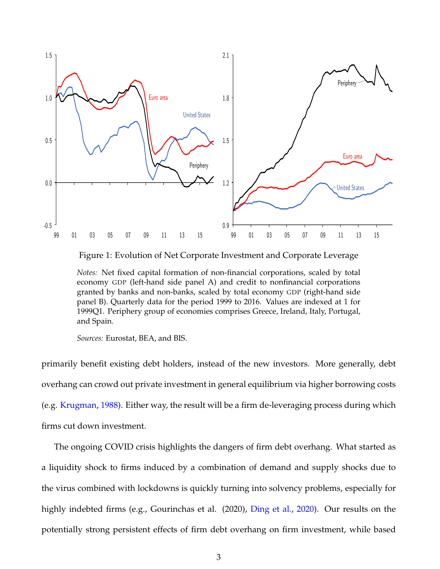<span id="page-3-0"></span>

Figure 1: Evolution of Net Corporate Investment and Corporate Leverage

*Notes:* Net fixed capital formation of non-financial corporations, scaled by total economy GDP (left-hand side panel A) and credit to nonfinancial corporations granted by banks and non-banks, scaled by total economy GDP (right-hand side panel B). Quarterly data for the period 1999 to 2016. Values are indexed at 1 for 1999Q1. Periphery group of economies comprises Greece, Ireland, Italy, Portugal, and Spain.

*Sources:* Eurostat, BEA, and BIS.

primarily benefit existing debt holders, instead of the new investors. More generally, debt overhang can crowd out private investment in general equilibrium via higher borrowing costs (e.g. [Krugman,](#page-41-2) [1988\)](#page-41-2). Either way, the result will be a firm de-leveraging process during which firms cut down investment.

The ongoing COVID crisis highlights the dangers of firm debt overhang. What started as a liquidity shock to firms induced by a combination of demand and supply shocks due to the virus combined with lockdowns is quickly turning into solvency problems, especially for highly indebted firms (e.g., Gourinchas et al. (2020), [Ding et al.,](#page-40-1) [2020\)](#page-40-1). Our results on the potentially strong persistent effects of firm debt overhang on firm investment, while based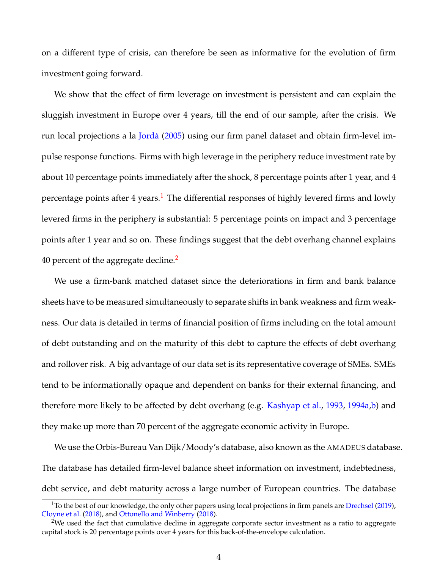on a different type of crisis, can therefore be seen as informative for the evolution of firm investment going forward.

We show that the effect of firm leverage on investment is persistent and can explain the sluggish investment in Europe over 4 years, till the end of our sample, after the crisis. We run local projections a la [Jordà](#page-41-3) [\(2005\)](#page-41-3) using our firm panel dataset and obtain firm-level impulse response functions. Firms with high leverage in the periphery reduce investment rate by about 10 percentage points immediately after the shock, 8 percentage points after 1 year, and 4 percentage points after  $4$  years.<sup>[1](#page--1-0)</sup> The differential responses of highly levered firms and lowly levered firms in the periphery is substantial: 5 percentage points on impact and 3 percentage points after 1 year and so on. These findings suggest that the debt overhang channel explains 40 percent of the aggregate decline.<sup>[2](#page--1-0)</sup>

We use a firm-bank matched dataset since the deteriorations in firm and bank balance sheets have to be measured simultaneously to separate shifts in bank weakness and firm weakness. Our data is detailed in terms of financial position of firms including on the total amount of debt outstanding and on the maturity of this debt to capture the effects of debt overhang and rollover risk. A big advantage of our data set is its representative coverage of SMEs. SMEs tend to be informationally opaque and dependent on banks for their external financing, and therefore more likely to be affected by debt overhang (e.g. [Kashyap et al.,](#page-41-4) [1993,](#page-41-4) [1994a,](#page-41-5)[b\)](#page-41-6) and they make up more than 70 percent of the aggregate economic activity in Europe.

We use the Orbis-Bureau Van Dijk/Moody's database, also known as the AMADEUS database. The database has detailed firm-level balance sheet information on investment, indebtedness, debt service, and debt maturity across a large number of European countries. The database

 $1$ To the best of our knowledge, the only other papers using local projections in firm panels are [Drechsel](#page-40-2) [\(2019\)](#page-40-2), [Cloyne et al.](#page-39-1) [\(2018\)](#page-39-1), and [Ottonello and Winberry](#page-41-7) [\(2018\)](#page-41-7).

<sup>&</sup>lt;sup>2</sup>We used the fact that cumulative decline in aggregate corporate sector investment as a ratio to aggregate capital stock is 20 percentage points over 4 years for this back-of-the-envelope calculation.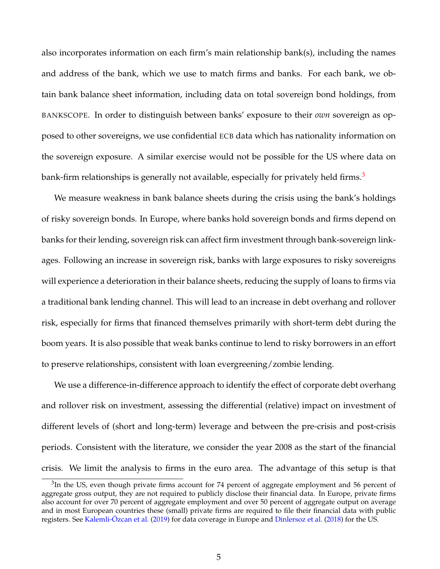also incorporates information on each firm's main relationship bank(s), including the names and address of the bank, which we use to match firms and banks. For each bank, we obtain bank balance sheet information, including data on total sovereign bond holdings, from BANKSCOPE. In order to distinguish between banks' exposure to their *own* sovereign as opposed to other sovereigns, we use confidential ECB data which has nationality information on the sovereign exposure. A similar exercise would not be possible for the US where data on bank-firm relationships is generally not available, especially for privately held firms.<sup>[3](#page--1-0)</sup>

We measure weakness in bank balance sheets during the crisis using the bank's holdings of risky sovereign bonds. In Europe, where banks hold sovereign bonds and firms depend on banks for their lending, sovereign risk can affect firm investment through bank-sovereign linkages. Following an increase in sovereign risk, banks with large exposures to risky sovereigns will experience a deterioration in their balance sheets, reducing the supply of loans to firms via a traditional bank lending channel. This will lead to an increase in debt overhang and rollover risk, especially for firms that financed themselves primarily with short-term debt during the boom years. It is also possible that weak banks continue to lend to risky borrowers in an effort to preserve relationships, consistent with loan evergreening/zombie lending.

We use a difference-in-difference approach to identify the effect of corporate debt overhang and rollover risk on investment, assessing the differential (relative) impact on investment of different levels of (short and long-term) leverage and between the pre-crisis and post-crisis periods. Consistent with the literature, we consider the year 2008 as the start of the financial crisis. We limit the analysis to firms in the euro area. The advantage of this setup is that

 $3$ In the US, even though private firms account for 74 percent of aggregate employment and 56 percent of aggregate gross output, they are not required to publicly disclose their financial data. In Europe, private firms also account for over 70 percent of aggregate employment and over 50 percent of aggregate output on average and in most European countries these (small) private firms are required to file their financial data with public registers. See [Kalemli-Özcan et al.](#page-41-8) [\(2019\)](#page-41-8) for data coverage in Europe and [Dinlersoz et al.](#page-40-3) [\(2018\)](#page-40-3) for the US.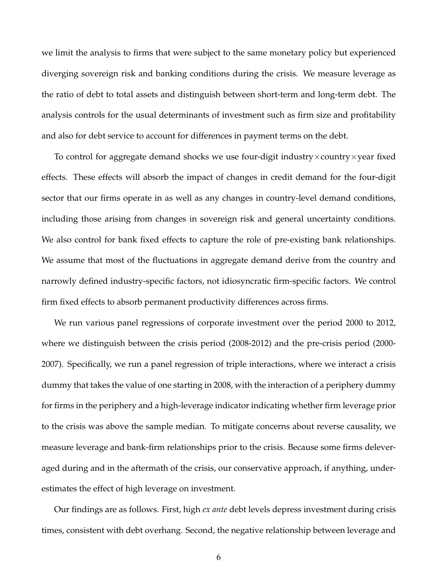we limit the analysis to firms that were subject to the same monetary policy but experienced diverging sovereign risk and banking conditions during the crisis. We measure leverage as the ratio of debt to total assets and distinguish between short-term and long-term debt. The analysis controls for the usual determinants of investment such as firm size and profitability and also for debt service to account for differences in payment terms on the debt.

To control for aggregate demand shocks we use four-digit industry×country×year fixed effects. These effects will absorb the impact of changes in credit demand for the four-digit sector that our firms operate in as well as any changes in country-level demand conditions, including those arising from changes in sovereign risk and general uncertainty conditions. We also control for bank fixed effects to capture the role of pre-existing bank relationships. We assume that most of the fluctuations in aggregate demand derive from the country and narrowly defined industry-specific factors, not idiosyncratic firm-specific factors. We control firm fixed effects to absorb permanent productivity differences across firms.

We run various panel regressions of corporate investment over the period 2000 to 2012, where we distinguish between the crisis period (2008-2012) and the pre-crisis period (2000- 2007). Specifically, we run a panel regression of triple interactions, where we interact a crisis dummy that takes the value of one starting in 2008, with the interaction of a periphery dummy for firms in the periphery and a high-leverage indicator indicating whether firm leverage prior to the crisis was above the sample median. To mitigate concerns about reverse causality, we measure leverage and bank-firm relationships prior to the crisis. Because some firms deleveraged during and in the aftermath of the crisis, our conservative approach, if anything, underestimates the effect of high leverage on investment.

Our findings are as follows. First, high *ex ante* debt levels depress investment during crisis times, consistent with debt overhang. Second, the negative relationship between leverage and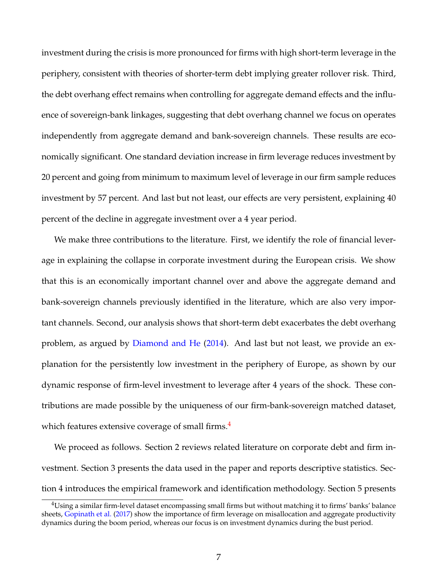investment during the crisis is more pronounced for firms with high short-term leverage in the periphery, consistent with theories of shorter-term debt implying greater rollover risk. Third, the debt overhang effect remains when controlling for aggregate demand effects and the influence of sovereign-bank linkages, suggesting that debt overhang channel we focus on operates independently from aggregate demand and bank-sovereign channels. These results are economically significant. One standard deviation increase in firm leverage reduces investment by 20 percent and going from minimum to maximum level of leverage in our firm sample reduces investment by 57 percent. And last but not least, our effects are very persistent, explaining 40 percent of the decline in aggregate investment over a 4 year period.

We make three contributions to the literature. First, we identify the role of financial leverage in explaining the collapse in corporate investment during the European crisis. We show that this is an economically important channel over and above the aggregate demand and bank-sovereign channels previously identified in the literature, which are also very important channels. Second, our analysis shows that short-term debt exacerbates the debt overhang problem, as argued by [Diamond and He](#page-40-4) [\(2014\)](#page-40-4). And last but not least, we provide an explanation for the persistently low investment in the periphery of Europe, as shown by our dynamic response of firm-level investment to leverage after 4 years of the shock. These contributions are made possible by the uniqueness of our firm-bank-sovereign matched dataset, which features extensive coverage of small firms.<sup>[4](#page--1-0)</sup>

We proceed as follows. Section 2 reviews related literature on corporate debt and firm investment. Section 3 presents the data used in the paper and reports descriptive statistics. Section 4 introduces the empirical framework and identification methodology. Section 5 presents

<sup>4</sup>Using a similar firm-level dataset encompassing small firms but without matching it to firms' banks' balance sheets, [Gopinath et al.](#page-40-5) [\(2017\)](#page-40-5) show the importance of firm leverage on misallocation and aggregate productivity dynamics during the boom period, whereas our focus is on investment dynamics during the bust period.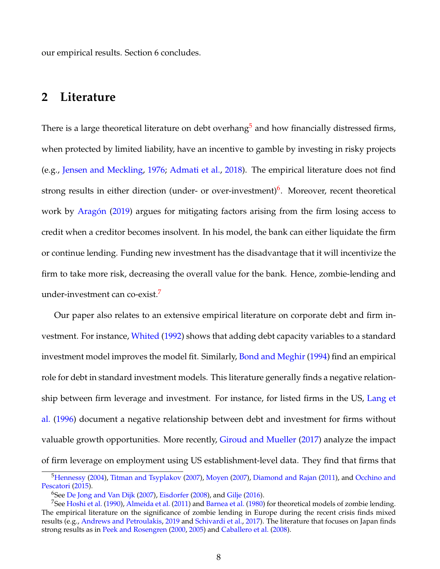our empirical results. Section 6 concludes.

# **2 Literature**

There is a large theoretical literature on debt overhang<sup>[5](#page--1-0)</sup> and how financially distressed firms, when protected by limited liability, have an incentive to gamble by investing in risky projects (e.g., [Jensen and Meckling,](#page-41-9) [1976;](#page-41-9) [Admati et al.,](#page-39-2) [2018\)](#page-39-2). The empirical literature does not find strong results in either direction (under- or over-investment)<sup>[6](#page--1-0)</sup>. Moreover, recent theoretical work by [Aragón](#page-39-3) [\(2019\)](#page-39-3) argues for mitigating factors arising from the firm losing access to credit when a creditor becomes insolvent. In his model, the bank can either liquidate the firm or continue lending. Funding new investment has the disadvantage that it will incentivize the firm to take more risk, decreasing the overall value for the bank. Hence, zombie-lending and under-investment can co-exist.[7](#page--1-0)

Our paper also relates to an extensive empirical literature on corporate debt and firm investment. For instance, [Whited](#page-42-1) [\(1992\)](#page-42-1) shows that adding debt capacity variables to a standard investment model improves the model fit. Similarly, [Bond and Meghir](#page-39-4) [\(1994\)](#page-39-4) find an empirical role for debt in standard investment models. This literature generally finds a negative relationship between firm leverage and investment. For instance, for listed firms in the US, [Lang et](#page-41-10) [al.](#page-41-10) [\(1996\)](#page-41-10) document a negative relationship between debt and investment for firms without valuable growth opportunities. More recently, [Giroud and Mueller](#page-40-6) [\(2017\)](#page-40-6) analyze the impact of firm leverage on employment using US establishment-level data. They find that firms that

<sup>&</sup>lt;sup>5</sup>[Hennessy](#page-40-7) [\(2004\)](#page-40-7), [Titman and Tsyplakov](#page-42-2) [\(2007\)](#page-41-11), [Moyen](#page-41-11) (2007), [Diamond and Rajan](#page-40-8) [\(2011\)](#page-40-8), and [Occhino and](#page-41-12) [Pescatori](#page-41-12) [\(2015\)](#page-41-12).

<sup>&</sup>lt;sup>6</sup>See [De Jong and Van Dijk](#page-40-9) [\(2007\)](#page-40-9), [Eisdorfer](#page-40-10) [\(2008\)](#page-40-10), and [Gilje](#page-40-11) [\(2016\)](#page-40-11).

<sup>&</sup>lt;sup>7</sup>See [Hoshi et al.](#page-40-12) [\(1990\)](#page-40-12), [Almeida et al.](#page-39-5) [\(2011\)](#page-39-5) and [Barnea et al.](#page-39-6) [\(1980\)](#page-39-6) for theoretical models of zombie lending. The empirical literature on the significance of zombie lending in Europe during the recent crisis finds mixed results (e.g., [Andrews and Petroulakis,](#page-39-7) [2019](#page-39-7) and [Schivardi et al.,](#page-42-3) [2017\)](#page-42-3). The literature that focuses on Japan finds strong results as in [Peek and Rosengren](#page-41-13) [\(2000,](#page-41-13) [2005\)](#page-42-4) and [Caballero et al.](#page-39-8) [\(2008\)](#page-39-8).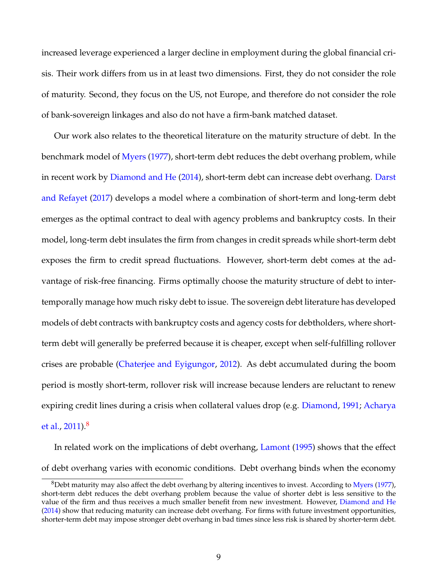increased leverage experienced a larger decline in employment during the global financial crisis. Their work differs from us in at least two dimensions. First, they do not consider the role of maturity. Second, they focus on the US, not Europe, and therefore do not consider the role of bank-sovereign linkages and also do not have a firm-bank matched dataset.

Our work also relates to the theoretical literature on the maturity structure of debt. In the benchmark model of [Myers](#page-41-1) [\(1977\)](#page-41-1), short-term debt reduces the debt overhang problem, while in recent work by [Diamond and He](#page-40-4) [\(2014\)](#page-40-4), short-term debt can increase debt overhang. [Darst](#page-39-9) [and Refayet](#page-39-9) [\(2017\)](#page-39-9) develops a model where a combination of short-term and long-term debt emerges as the optimal contract to deal with agency problems and bankruptcy costs. In their model, long-term debt insulates the firm from changes in credit spreads while short-term debt exposes the firm to credit spread fluctuations. However, short-term debt comes at the advantage of risk-free financing. Firms optimally choose the maturity structure of debt to intertemporally manage how much risky debt to issue. The sovereign debt literature has developed models of debt contracts with bankruptcy costs and agency costs for debtholders, where shortterm debt will generally be preferred because it is cheaper, except when self-fulfilling rollover crises are probable [\(Chaterjee and Eyigungor,](#page-39-10) [2012\)](#page-39-10). As debt accumulated during the boom period is mostly short-term, rollover risk will increase because lenders are reluctant to renew expiring credit lines during a crisis when collateral values drop (e.g. [Diamond,](#page-40-13) [1991;](#page-40-13) [Acharya](#page-39-11) [et al.,](#page-39-11) [2011\)](#page-39-11).[8](#page--1-0)

In related work on the implications of debt overhang, [Lamont](#page-41-14) [\(1995\)](#page-41-14) shows that the effect of debt overhang varies with economic conditions. Debt overhang binds when the economy

 $8$ Debt maturity may also affect the debt overhang by altering incentives to invest. According to [Myers](#page-41-1) [\(1977\)](#page-41-1), short-term debt reduces the debt overhang problem because the value of shorter debt is less sensitive to the value of the firm and thus receives a much smaller benefit from new investment. However, [Diamond and He](#page-40-4) [\(2014\)](#page-40-4) show that reducing maturity can increase debt overhang. For firms with future investment opportunities, shorter-term debt may impose stronger debt overhang in bad times since less risk is shared by shorter-term debt.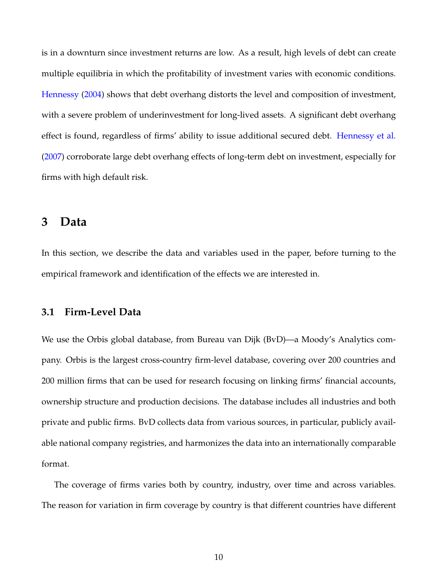is in a downturn since investment returns are low. As a result, high levels of debt can create multiple equilibria in which the profitability of investment varies with economic conditions. [Hennessy](#page-40-7) [\(2004\)](#page-40-7) shows that debt overhang distorts the level and composition of investment, with a severe problem of underinvestment for long-lived assets. A significant debt overhang effect is found, regardless of firms' ability to issue additional secured debt. [Hennessy et al.](#page-40-14) [\(2007\)](#page-40-14) corroborate large debt overhang effects of long-term debt on investment, especially for firms with high default risk.

## **3 Data**

In this section, we describe the data and variables used in the paper, before turning to the empirical framework and identification of the effects we are interested in.

### **3.1 Firm-Level Data**

We use the Orbis global database, from Bureau van Dijk (BvD)—a Moody's Analytics company. Orbis is the largest cross-country firm-level database, covering over 200 countries and 200 million firms that can be used for research focusing on linking firms' financial accounts, ownership structure and production decisions. The database includes all industries and both private and public firms. BvD collects data from various sources, in particular, publicly available national company registries, and harmonizes the data into an internationally comparable format.

The coverage of firms varies both by country, industry, over time and across variables. The reason for variation in firm coverage by country is that different countries have different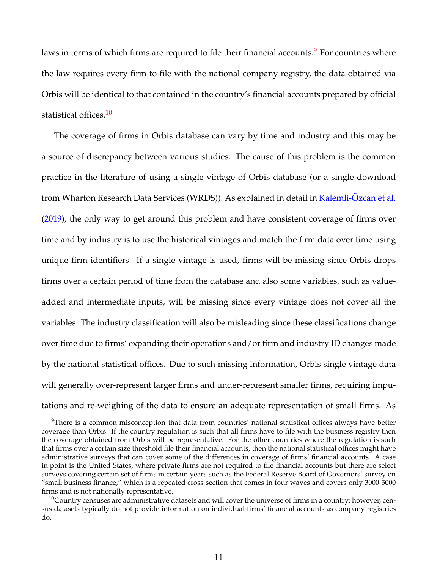laws in terms of which firms are required to file their financial accounts.<sup>[9](#page--1-0)</sup> For countries where the law requires every firm to file with the national company registry, the data obtained via Orbis will be identical to that contained in the country's financial accounts prepared by official statistical offices.<sup>[10](#page--1-0)</sup>

The coverage of firms in Orbis database can vary by time and industry and this may be a source of discrepancy between various studies. The cause of this problem is the common practice in the literature of using a single vintage of Orbis database (or a single download from Wharton Research Data Services (WRDS)). As explained in detail in [Kalemli-Özcan et al.](#page-41-8) [\(2019\)](#page-41-8), the only way to get around this problem and have consistent coverage of firms over time and by industry is to use the historical vintages and match the firm data over time using unique firm identifiers. If a single vintage is used, firms will be missing since Orbis drops firms over a certain period of time from the database and also some variables, such as valueadded and intermediate inputs, will be missing since every vintage does not cover all the variables. The industry classification will also be misleading since these classifications change over time due to firms' expanding their operations and/or firm and industry ID changes made by the national statistical offices. Due to such missing information, Orbis single vintage data will generally over-represent larger firms and under-represent smaller firms, requiring imputations and re-weighing of the data to ensure an adequate representation of small firms. As

<sup>&</sup>lt;sup>9</sup>There is a common misconception that data from countries' national statistical offices always have better coverage than Orbis. If the country regulation is such that all firms have to file with the business registry then the coverage obtained from Orbis will be representative. For the other countries where the regulation is such that firms over a certain size threshold file their financial accounts, then the national statistical offices might have administrative surveys that can cover some of the differences in coverage of firms' financial accounts. A case in point is the United States, where private firms are not required to file financial accounts but there are select surveys covering certain set of firms in certain years such as the Federal Reserve Board of Governors' survey on "small business finance," which is a repeated cross-section that comes in four waves and covers only 3000-5000 firms and is not nationally representative.

 $10$ Country censuses are administrative datasets and will cover the universe of firms in a country; however, census datasets typically do not provide information on individual firms' financial accounts as company registries do.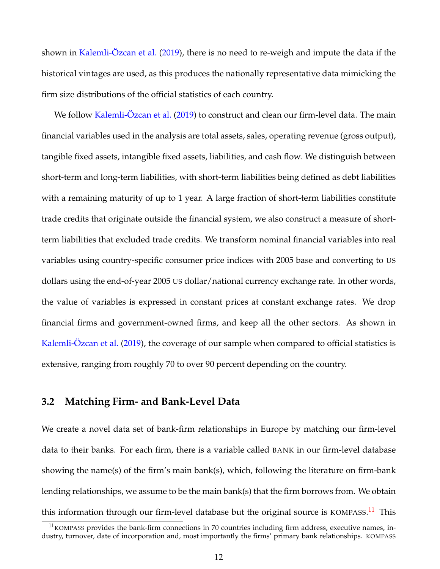shown in [Kalemli-Özcan et al.](#page-41-8) [\(2019\)](#page-41-8), there is no need to re-weigh and impute the data if the historical vintages are used, as this produces the nationally representative data mimicking the firm size distributions of the official statistics of each country.

We follow Kalemli-Ozcan et al. [\(2019\)](#page-41-8) to construct and clean our firm-level data. The main financial variables used in the analysis are total assets, sales, operating revenue (gross output), tangible fixed assets, intangible fixed assets, liabilities, and cash flow. We distinguish between short-term and long-term liabilities, with short-term liabilities being defined as debt liabilities with a remaining maturity of up to 1 year. A large fraction of short-term liabilities constitute trade credits that originate outside the financial system, we also construct a measure of shortterm liabilities that excluded trade credits. We transform nominal financial variables into real variables using country-specific consumer price indices with 2005 base and converting to US dollars using the end-of-year 2005 US dollar/national currency exchange rate. In other words, the value of variables is expressed in constant prices at constant exchange rates. We drop financial firms and government-owned firms, and keep all the other sectors. As shown in [Kalemli-Özcan et al.](#page-41-8) [\(2019\)](#page-41-8), the coverage of our sample when compared to official statistics is extensive, ranging from roughly 70 to over 90 percent depending on the country.

### **3.2 Matching Firm- and Bank-Level Data**

We create a novel data set of bank-firm relationships in Europe by matching our firm-level data to their banks. For each firm, there is a variable called BANK in our firm-level database showing the name(s) of the firm's main bank(s), which, following the literature on firm-bank lending relationships, we assume to be the main bank(s) that the firm borrows from. We obtain this information through our firm-level database but the original source is KOMPASS.<sup>[11](#page--1-0)</sup> This

 $11$ KOMPASS provides the bank-firm connections in 70 countries including firm address, executive names, industry, turnover, date of incorporation and, most importantly the firms' primary bank relationships. KOMPASS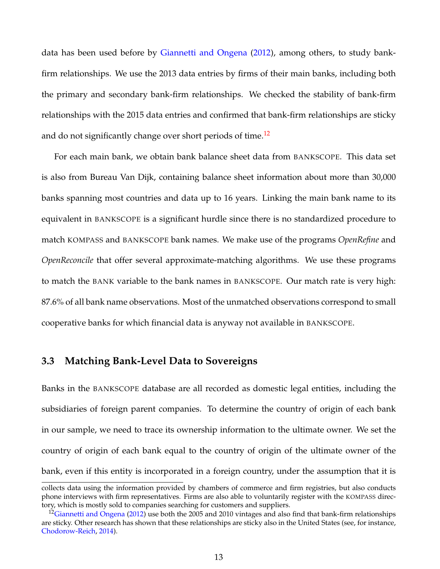data has been used before by [Giannetti and Ongena](#page-40-15) [\(2012\)](#page-40-15), among others, to study bankfirm relationships. We use the 2013 data entries by firms of their main banks, including both the primary and secondary bank-firm relationships. We checked the stability of bank-firm relationships with the 2015 data entries and confirmed that bank-firm relationships are sticky and do not significantly change over short periods of time.<sup>[12](#page--1-0)</sup>

For each main bank, we obtain bank balance sheet data from BANKSCOPE. This data set is also from Bureau Van Dijk, containing balance sheet information about more than 30,000 banks spanning most countries and data up to 16 years. Linking the main bank name to its equivalent in BANKSCOPE is a significant hurdle since there is no standardized procedure to match KOMPASS and BANKSCOPE bank names. We make use of the programs *OpenRefine* and *OpenReconcile* that offer several approximate-matching algorithms. We use these programs to match the BANK variable to the bank names in BANKSCOPE. Our match rate is very high: 87.6% of all bank name observations. Most of the unmatched observations correspond to small cooperative banks for which financial data is anyway not available in BANKSCOPE.

### **3.3 Matching Bank-Level Data to Sovereigns**

Banks in the BANKSCOPE database are all recorded as domestic legal entities, including the subsidiaries of foreign parent companies. To determine the country of origin of each bank in our sample, we need to trace its ownership information to the ultimate owner. We set the country of origin of each bank equal to the country of origin of the ultimate owner of the bank, even if this entity is incorporated in a foreign country, under the assumption that it is

collects data using the information provided by chambers of commerce and firm registries, but also conducts phone interviews with firm representatives. Firms are also able to voluntarily register with the KOMPASS directory, which is mostly sold to companies searching for customers and suppliers.

<sup>&</sup>lt;sup>12</sup>[Giannetti and Ongena](#page-40-15) [\(2012\)](#page-40-15) use both the 2005 and 2010 vintages and also find that bank-firm relationships are sticky. Other research has shown that these relationships are sticky also in the United States (see, for instance, [Chodorow-Reich,](#page-39-12) [2014\)](#page-39-12).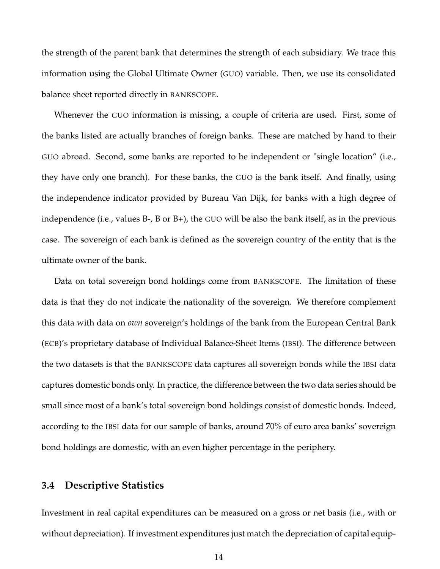the strength of the parent bank that determines the strength of each subsidiary. We trace this information using the Global Ultimate Owner (GUO) variable. Then, we use its consolidated balance sheet reported directly in BANKSCOPE.

Whenever the GUO information is missing, a couple of criteria are used. First, some of the banks listed are actually branches of foreign banks. These are matched by hand to their GUO abroad. Second, some banks are reported to be independent or "single location" (i.e., they have only one branch). For these banks, the GUO is the bank itself. And finally, using the independence indicator provided by Bureau Van Dijk, for banks with a high degree of independence (i.e., values B-, B or B+), the GUO will be also the bank itself, as in the previous case. The sovereign of each bank is defined as the sovereign country of the entity that is the ultimate owner of the bank.

Data on total sovereign bond holdings come from BANKSCOPE. The limitation of these data is that they do not indicate the nationality of the sovereign. We therefore complement this data with data on *own* sovereign's holdings of the bank from the European Central Bank (ECB)'s proprietary database of Individual Balance-Sheet Items (IBSI). The difference between the two datasets is that the BANKSCOPE data captures all sovereign bonds while the IBSI data captures domestic bonds only. In practice, the difference between the two data series should be small since most of a bank's total sovereign bond holdings consist of domestic bonds. Indeed, according to the IBSI data for our sample of banks, around 70% of euro area banks' sovereign bond holdings are domestic, with an even higher percentage in the periphery.

#### **3.4 Descriptive Statistics**

Investment in real capital expenditures can be measured on a gross or net basis (i.e., with or without depreciation). If investment expenditures just match the depreciation of capital equip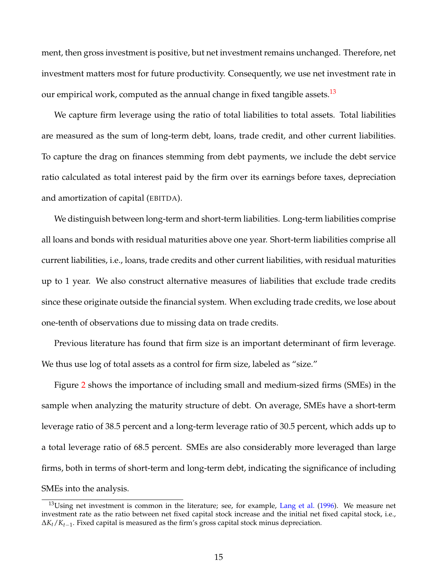ment, then gross investment is positive, but net investment remains unchanged. Therefore, net investment matters most for future productivity. Consequently, we use net investment rate in our empirical work, computed as the annual change in fixed tangible assets.<sup>[13](#page--1-0)</sup>

We capture firm leverage using the ratio of total liabilities to total assets. Total liabilities are measured as the sum of long-term debt, loans, trade credit, and other current liabilities. To capture the drag on finances stemming from debt payments, we include the debt service ratio calculated as total interest paid by the firm over its earnings before taxes, depreciation and amortization of capital (EBITDA).

We distinguish between long-term and short-term liabilities. Long-term liabilities comprise all loans and bonds with residual maturities above one year. Short-term liabilities comprise all current liabilities, i.e., loans, trade credits and other current liabilities, with residual maturities up to 1 year. We also construct alternative measures of liabilities that exclude trade credits since these originate outside the financial system. When excluding trade credits, we lose about one-tenth of observations due to missing data on trade credits.

Previous literature has found that firm size is an important determinant of firm leverage. We thus use log of total assets as a control for firm size, labeled as "size."

Figure [2](#page-16-0) shows the importance of including small and medium-sized firms (SMEs) in the sample when analyzing the maturity structure of debt. On average, SMEs have a short-term leverage ratio of 38.5 percent and a long-term leverage ratio of 30.5 percent, which adds up to a total leverage ratio of 68.5 percent. SMEs are also considerably more leveraged than large firms, both in terms of short-term and long-term debt, indicating the significance of including SMEs into the analysis.

 $13$ Using net investment is common in the literature; see, for example, [Lang et al.](#page-41-10) [\(1996\)](#page-41-10). We measure net investment rate as the ratio between net fixed capital stock increase and the initial net fixed capital stock, i.e., ∆*Kt*/*Kt*−1. Fixed capital is measured as the firm's gross capital stock minus depreciation.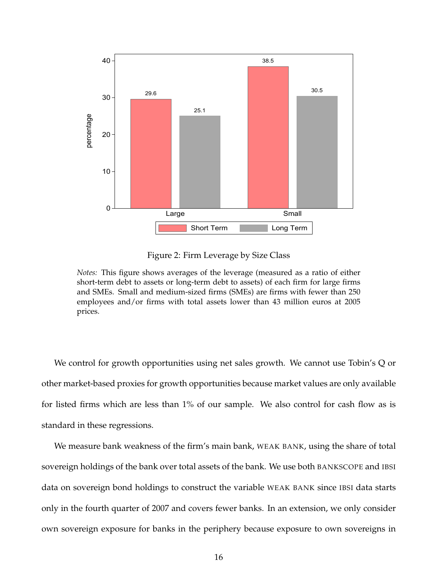<span id="page-16-0"></span>

Figure 2: Firm Leverage by Size Class

*Notes:* This figure shows averages of the leverage (measured as a ratio of either short-term debt to assets or long-term debt to assets) of each firm for large firms and SMEs. Small and medium-sized firms (SMEs) are firms with fewer than 250 employees and/or firms with total assets lower than 43 million euros at 2005 prices.

We control for growth opportunities using net sales growth. We cannot use Tobin's Q or other market-based proxies for growth opportunities because market values are only available for listed firms which are less than 1% of our sample. We also control for cash flow as is standard in these regressions.

We measure bank weakness of the firm's main bank, WEAK BANK, using the share of total sovereign holdings of the bank over total assets of the bank. We use both BANKSCOPE and IBSI data on sovereign bond holdings to construct the variable WEAK BANK since IBSI data starts only in the fourth quarter of 2007 and covers fewer banks. In an extension, we only consider own sovereign exposure for banks in the periphery because exposure to own sovereigns in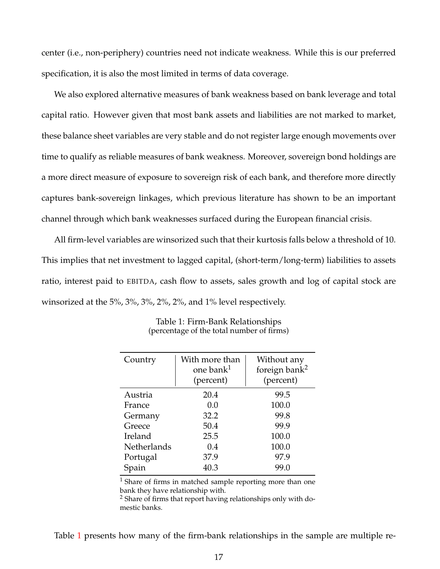center (i.e., non-periphery) countries need not indicate weakness. While this is our preferred specification, it is also the most limited in terms of data coverage.

We also explored alternative measures of bank weakness based on bank leverage and total capital ratio. However given that most bank assets and liabilities are not marked to market, these balance sheet variables are very stable and do not register large enough movements over time to qualify as reliable measures of bank weakness. Moreover, sovereign bond holdings are a more direct measure of exposure to sovereign risk of each bank, and therefore more directly captures bank-sovereign linkages, which previous literature has shown to be an important channel through which bank weaknesses surfaced during the European financial crisis.

All firm-level variables are winsorized such that their kurtosis falls below a threshold of 10. This implies that net investment to lagged capital, (short-term/long-term) liabilities to assets ratio, interest paid to EBITDA, cash flow to assets, sales growth and log of capital stock are winsorized at the 5%, 3%, 3%, 2%, 2%, and 1% level respectively.

<span id="page-17-0"></span>

| Country            | With more than<br>one bank <sup>1</sup><br>(percent) | Without any<br>foreign bank <sup>2</sup><br>(percent) |
|--------------------|------------------------------------------------------|-------------------------------------------------------|
| Austria            | 20.4                                                 | 99.5                                                  |
| France             | 0.0                                                  | 100.0                                                 |
| Germany            | 32.2                                                 | 99.8                                                  |
| Greece             | 50.4                                                 | 99.9                                                  |
| Ireland            | 25.5                                                 | 100.0                                                 |
| <b>Netherlands</b> | 0.4                                                  | 100.0                                                 |
| Portugal           | 37.9                                                 | 97.9                                                  |
| Spain              | 40.3                                                 | 99.0                                                  |

Table 1: Firm-Bank Relationships (percentage of the total number of firms)

<sup>1</sup> Share of firms in matched sample reporting more than one bank they have relationship with.

<sup>2</sup> Share of firms that report having relationships only with domestic banks.

Table [1](#page-17-0) presents how many of the firm-bank relationships in the sample are multiple re-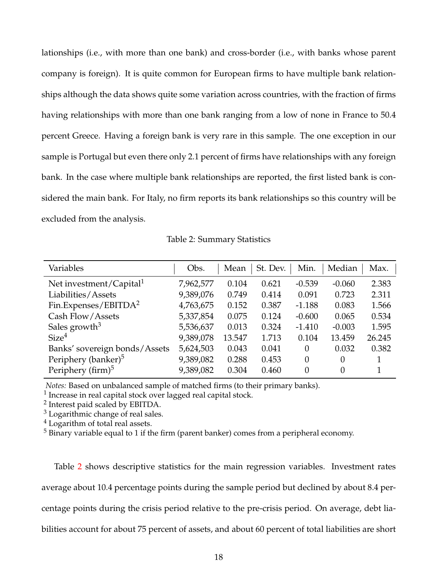lationships (i.e., with more than one bank) and cross-border (i.e., with banks whose parent company is foreign). It is quite common for European firms to have multiple bank relationships although the data shows quite some variation across countries, with the fraction of firms having relationships with more than one bank ranging from a low of none in France to 50.4 percent Greece. Having a foreign bank is very rare in this sample. The one exception in our sample is Portugal but even there only 2.1 percent of firms have relationships with any foreign bank. In the case where multiple bank relationships are reported, the first listed bank is considered the main bank. For Italy, no firm reports its bank relationships so this country will be excluded from the analysis.

| <b>Table 2: Summary Statistics</b> |  |  |
|------------------------------------|--|--|
|------------------------------------|--|--|

<span id="page-18-0"></span>

| Variables                           | Obs.      | Mean   | St. Dev. | Min.     | Median   | Max.   |
|-------------------------------------|-----------|--------|----------|----------|----------|--------|
| Net investment/Capital <sup>1</sup> | 7,962,577 | 0.104  | 0.621    | $-0.539$ | $-0.060$ | 2.383  |
| Liabilities/Assets                  | 9,389,076 | 0.749  | 0.414    | 0.091    | 0.723    | 2.311  |
| Fin.Expenses/EBITDA <sup>2</sup>    | 4,763,675 | 0.152  | 0.387    | $-1.188$ | 0.083    | 1.566  |
| Cash Flow/Assets                    | 5,337,854 | 0.075  | 0.124    | $-0.600$ | 0.065    | 0.534  |
| Sales growth <sup>3</sup>           | 5,536,637 | 0.013  | 0.324    | $-1.410$ | $-0.003$ | 1.595  |
| Size <sup>4</sup>                   | 9,389,078 | 13.547 | 1.713    | 0.104    | 13.459   | 26.245 |
| Banks' sovereign bonds/Assets       | 5,624,503 | 0.043  | 0.041    | $\Omega$ | 0.032    | 0.382  |
| Periphery (banker) <sup>5</sup>     | 9,389,082 | 0.288  | 0.453    | $\theta$ | 0        |        |
| Periphery (firm) $5$                | 9,389,082 | 0.304  | 0.460    | $\theta$ | 0        |        |

*Notes:* Based on unbalanced sample of matched firms (to their primary banks).

<sup>1</sup> Increase in real capital stock over lagged real capital stock.

<sup>2</sup> Interest paid scaled by EBITDA.

 $3$  Logarithmic change of real sales.

 $<sup>4</sup>$  Logarithm of total real assets.</sup>

 $5$  Binary variable equal to 1 if the firm (parent banker) comes from a peripheral economy.

Table [2](#page-18-0) shows descriptive statistics for the main regression variables. Investment rates average about 10.4 percentage points during the sample period but declined by about 8.4 percentage points during the crisis period relative to the pre-crisis period. On average, debt liabilities account for about 75 percent of assets, and about 60 percent of total liabilities are short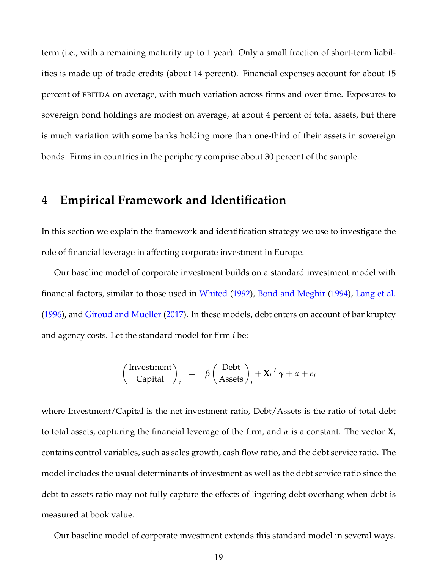term (i.e., with a remaining maturity up to 1 year). Only a small fraction of short-term liabilities is made up of trade credits (about 14 percent). Financial expenses account for about 15 percent of EBITDA on average, with much variation across firms and over time. Exposures to sovereign bond holdings are modest on average, at about 4 percent of total assets, but there is much variation with some banks holding more than one-third of their assets in sovereign bonds. Firms in countries in the periphery comprise about 30 percent of the sample.

## **4 Empirical Framework and Identification**

In this section we explain the framework and identification strategy we use to investigate the role of financial leverage in affecting corporate investment in Europe.

Our baseline model of corporate investment builds on a standard investment model with financial factors, similar to those used in [Whited](#page-42-1) [\(1992\)](#page-42-1), [Bond and Meghir](#page-39-4) [\(1994\)](#page-39-4), [Lang et al.](#page-41-10) [\(1996\)](#page-41-10), and [Giroud and Mueller](#page-40-6) [\(2017\)](#page-40-6). In these models, debt enters on account of bankruptcy and agency costs. Let the standard model for firm *i* be:

$$
\left(\frac{\text{Investment}}{\text{Capital}}\right)_i = \beta \left(\frac{\text{Debt}}{\text{Assets}}\right)_i + \mathbf{X}_i' \gamma + \alpha + \varepsilon_i
$$

where Investment/Capital is the net investment ratio, Debt/Assets is the ratio of total debt to total assets, capturing the financial leverage of the firm, and *α* is a constant. The vector **X***<sup>i</sup>* contains control variables, such as sales growth, cash flow ratio, and the debt service ratio. The model includes the usual determinants of investment as well as the debt service ratio since the debt to assets ratio may not fully capture the effects of lingering debt overhang when debt is measured at book value.

Our baseline model of corporate investment extends this standard model in several ways.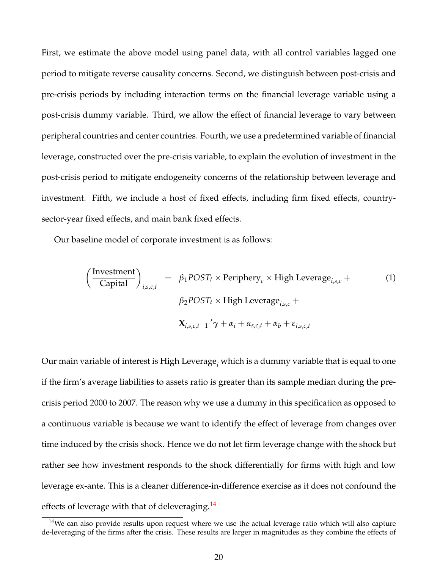First, we estimate the above model using panel data, with all control variables lagged one period to mitigate reverse causality concerns. Second, we distinguish between post-crisis and pre-crisis periods by including interaction terms on the financial leverage variable using a post-crisis dummy variable. Third, we allow the effect of financial leverage to vary between peripheral countries and center countries. Fourth, we use a predetermined variable of financial leverage, constructed over the pre-crisis variable, to explain the evolution of investment in the post-crisis period to mitigate endogeneity concerns of the relationship between leverage and investment. Fifth, we include a host of fixed effects, including firm fixed effects, countrysector-year fixed effects, and main bank fixed effects.

Our baseline model of corporate investment is as follows:

$$
\left(\frac{\text{Investment}}{\text{Capital}}\right)_{i,s,c,t} = \beta_1 POST_t \times \text{Periphery}_c \times \text{High Leverage}_{i,s,c} + \beta_2 POST_t \times \text{High Leverage}_{i,s,c} + \beta_2 POST_t \times \text{High Leverage}_{i,s,c} + \mathbf{X}_{i,s,c,t-1} \cdot \gamma + \alpha_i + \alpha_{s,c,t} + \alpha_b + \varepsilon_{i,s,c,t}
$$
 (1)

Our main variable of interest is High Leverage*<sup>i</sup>* which is a dummy variable that is equal to one if the firm's average liabilities to assets ratio is greater than its sample median during the precrisis period 2000 to 2007. The reason why we use a dummy in this specification as opposed to a continuous variable is because we want to identify the effect of leverage from changes over time induced by the crisis shock. Hence we do not let firm leverage change with the shock but rather see how investment responds to the shock differentially for firms with high and low leverage ex-ante. This is a cleaner difference-in-difference exercise as it does not confound the effects of leverage with that of deleveraging.  $14$ 

 $14$ We can also provide results upon request where we use the actual leverage ratio which will also capture de-leveraging of the firms after the crisis. These results are larger in magnitudes as they combine the effects of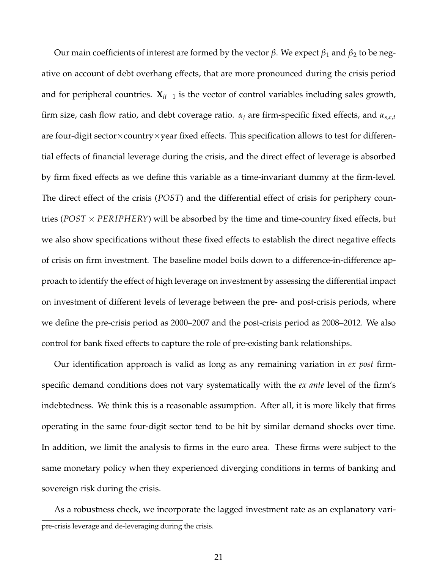Our main coefficients of interest are formed by the vector  $β$ . We expect  $β_1$  and  $β_2$  to be negative on account of debt overhang effects, that are more pronounced during the crisis period and for peripheral countries. **X***it*−<sup>1</sup> is the vector of control variables including sales growth, firm size, cash flow ratio, and debt coverage ratio. *α<sup>i</sup>* are firm-specific fixed effects, and *αs*,*c*,*<sup>t</sup>* are four-digit sector $\times$ country $\times$ year fixed effects. This specification allows to test for differential effects of financial leverage during the crisis, and the direct effect of leverage is absorbed by firm fixed effects as we define this variable as a time-invariant dummy at the firm-level. The direct effect of the crisis (*POST*) and the differential effect of crisis for periphery countries ( $POST \times PERIPHERY$ ) will be absorbed by the time and time-country fixed effects, but we also show specifications without these fixed effects to establish the direct negative effects of crisis on firm investment. The baseline model boils down to a difference-in-difference approach to identify the effect of high leverage on investment by assessing the differential impact on investment of different levels of leverage between the pre- and post-crisis periods, where we define the pre-crisis period as 2000–2007 and the post-crisis period as 2008–2012. We also control for bank fixed effects to capture the role of pre-existing bank relationships.

Our identification approach is valid as long as any remaining variation in *ex post* firmspecific demand conditions does not vary systematically with the *ex ante* level of the firm's indebtedness. We think this is a reasonable assumption. After all, it is more likely that firms operating in the same four-digit sector tend to be hit by similar demand shocks over time. In addition, we limit the analysis to firms in the euro area. These firms were subject to the same monetary policy when they experienced diverging conditions in terms of banking and sovereign risk during the crisis.

As a robustness check, we incorporate the lagged investment rate as an explanatory varipre-crisis leverage and de-leveraging during the crisis.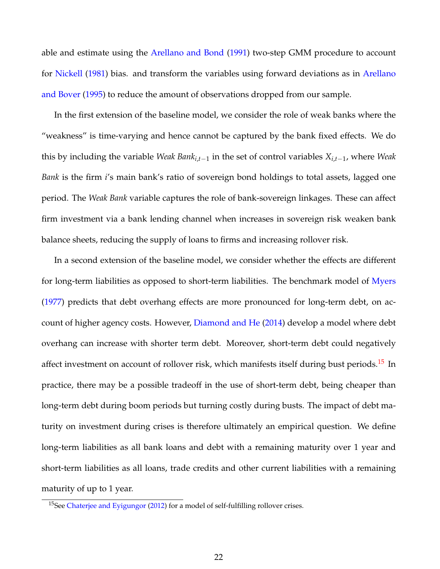able and estimate using the [Arellano and Bond](#page-39-13) [\(1991\)](#page-39-13) two-step GMM procedure to account for [Nickell](#page-41-15) [\(1981\)](#page-41-15) bias. and transform the variables using forward deviations as in [Arellano](#page-39-14) [and Bover](#page-39-14) [\(1995\)](#page-39-14) to reduce the amount of observations dropped from our sample.

In the first extension of the baseline model, we consider the role of weak banks where the "weakness" is time-varying and hence cannot be captured by the bank fixed effects. We do this by including the variable *Weak Banki*,*t*−<sup>1</sup> in the set of control variables *Xi*,*t*−<sup>1</sup> , where *Weak Bank* is the firm *i*'s main bank's ratio of sovereign bond holdings to total assets, lagged one period. The *Weak Bank* variable captures the role of bank-sovereign linkages. These can affect firm investment via a bank lending channel when increases in sovereign risk weaken bank balance sheets, reducing the supply of loans to firms and increasing rollover risk.

In a second extension of the baseline model, we consider whether the effects are different for long-term liabilities as opposed to short-term liabilities. The benchmark model of [Myers](#page-41-1) [\(1977\)](#page-41-1) predicts that debt overhang effects are more pronounced for long-term debt, on account of higher agency costs. However, [Diamond and He](#page-40-4) [\(2014\)](#page-40-4) develop a model where debt overhang can increase with shorter term debt. Moreover, short-term debt could negatively affect investment on account of rollover risk, which manifests itself during bust periods.<sup>[15](#page--1-0)</sup> In practice, there may be a possible tradeoff in the use of short-term debt, being cheaper than long-term debt during boom periods but turning costly during busts. The impact of debt maturity on investment during crises is therefore ultimately an empirical question. We define long-term liabilities as all bank loans and debt with a remaining maturity over 1 year and short-term liabilities as all loans, trade credits and other current liabilities with a remaining maturity of up to 1 year.

<sup>&</sup>lt;sup>15</sup>See [Chaterjee and Eyigungor](#page-39-10) [\(2012\)](#page-39-10) for a model of self-fulfilling rollover crises.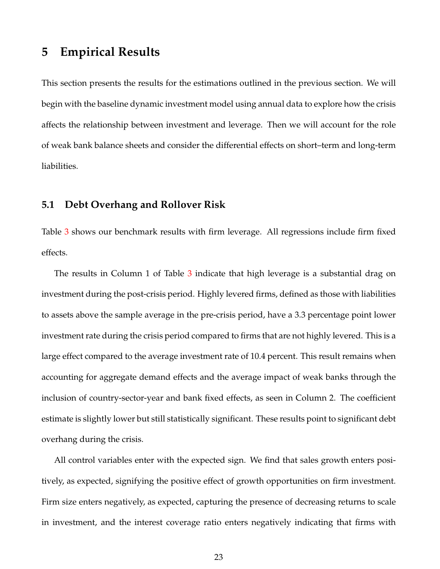## **5 Empirical Results**

This section presents the results for the estimations outlined in the previous section. We will begin with the baseline dynamic investment model using annual data to explore how the crisis affects the relationship between investment and leverage. Then we will account for the role of weak bank balance sheets and consider the differential effects on short–term and long-term liabilities.

#### **5.1 Debt Overhang and Rollover Risk**

Table [3](#page-24-0) shows our benchmark results with firm leverage. All regressions include firm fixed effects.

The results in Column 1 of Table [3](#page-24-0) indicate that high leverage is a substantial drag on investment during the post-crisis period. Highly levered firms, defined as those with liabilities to assets above the sample average in the pre-crisis period, have a 3.3 percentage point lower investment rate during the crisis period compared to firms that are not highly levered. This is a large effect compared to the average investment rate of 10.4 percent. This result remains when accounting for aggregate demand effects and the average impact of weak banks through the inclusion of country-sector-year and bank fixed effects, as seen in Column 2. The coefficient estimate is slightly lower but still statistically significant. These results point to significant debt overhang during the crisis.

All control variables enter with the expected sign. We find that sales growth enters positively, as expected, signifying the positive effect of growth opportunities on firm investment. Firm size enters negatively, as expected, capturing the presence of decreasing returns to scale in investment, and the interest coverage ratio enters negatively indicating that firms with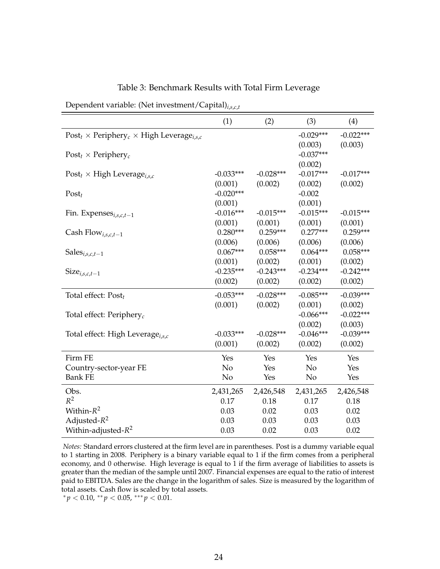<span id="page-24-0"></span>

|                                                                  | (1)            | (2)         | (3)         | (4)         |
|------------------------------------------------------------------|----------------|-------------|-------------|-------------|
| $Post_t \times Periphery_c \times High \text{Leverage}_{i.s.c.}$ |                |             | $-0.029***$ | $-0.022***$ |
|                                                                  |                |             | (0.003)     | (0.003)     |
| $Post_t \times Periphery_c$                                      |                |             | $-0.037***$ |             |
|                                                                  |                |             | (0.002)     |             |
| Post <sub>t</sub> $\times$ High Leverage <sub>i,s,c</sub>        | $-0.033***$    | $-0.028***$ | $-0.017***$ | $-0.017***$ |
|                                                                  | (0.001)        | (0.002)     | (0.002)     | (0.002)     |
| $Post_t$                                                         | $-0.020***$    |             | $-0.002$    |             |
|                                                                  | (0.001)        |             | (0.001)     |             |
| Fin. Expenses <sub>i,s,c,t-1</sub>                               | $-0.016***$    | $-0.015***$ | $-0.015***$ | $-0.015***$ |
|                                                                  | (0.001)        | (0.001)     | (0.001)     | (0.001)     |
| Cash Flow <sub>i,s,c,t-1</sub>                                   | $0.280***$     | $0.259***$  | $0.277***$  | $0.259***$  |
|                                                                  | (0.006)        | (0.006)     | (0.006)     | (0.006)     |
| Sales $_{i,s,c,t-1}$                                             | $0.067***$     | $0.058***$  | $0.064***$  | $0.058***$  |
|                                                                  | (0.001)        | (0.002)     | (0.001)     | (0.002)     |
| $Size_{i,s,c,t-1}$                                               | $-0.235***$    | $-0.243***$ | $-0.234***$ | $-0.242***$ |
|                                                                  | (0.002)        | (0.002)     | (0.002)     | (0.002)     |
| Total effect: Post <sub>t</sub>                                  | $-0.053***$    | $-0.028***$ | $-0.085***$ | $-0.039***$ |
|                                                                  | (0.001)        | (0.002)     | (0.001)     | (0.002)     |
| Total effect: Periphery <sub>c</sub>                             |                |             | $-0.066***$ | $-0.022***$ |
|                                                                  |                |             | (0.002)     | (0.003)     |
| Total effect: High Leverage <sub>i.s.c</sub>                     | $-0.033***$    | $-0.028***$ | $-0.046***$ | $-0.039***$ |
|                                                                  | (0.001)        | (0.002)     | (0.002)     | (0.002)     |
| Firm FE                                                          | Yes            | Yes         | Yes         | Yes         |
| Country-sector-year FE                                           | N <sub>o</sub> | Yes         | No          | Yes         |
| <b>Bank FE</b>                                                   | N <sub>o</sub> | Yes         | No          | Yes         |
| Obs.                                                             | 2,431,265      | 2,426,548   | 2,431,265   | 2,426,548   |
| $R^2$                                                            | 0.17           | 0.18        | 0.17        | 0.18        |
| Within- $R^2$                                                    | 0.03           | 0.02        | 0.03        | 0.02        |
| Adjusted- $R^2$                                                  | 0.03           | 0.03        | 0.03        | 0.03        |
| Within-adjusted- $R^2$                                           | 0.03           | 0.02        | 0.03        | 0.02        |

Table 3: Benchmark Results with Total Firm Leverage

Dependent variable: (Net investment/Capital)*i*,*s*,*c*,*<sup>t</sup>*

*Notes:* Standard errors clustered at the firm level are in parentheses. Post is a dummy variable equal to 1 starting in 2008. Periphery is a binary variable equal to 1 if the firm comes from a peripheral economy, and 0 otherwise. High leverage is equal to 1 if the firm average of liabilities to assets is greater than the median of the sample until 2007. Financial expenses are equal to the ratio of interest paid to EBITDA. Sales are the change in the logarithm of sales. Size is measured by the logarithm of total assets. Cash flow is scaled by total assets.

 $p^* p < 0.10, \, \binom{p}{2} < 0.05, \, \binom{p}{2} < 0.01.$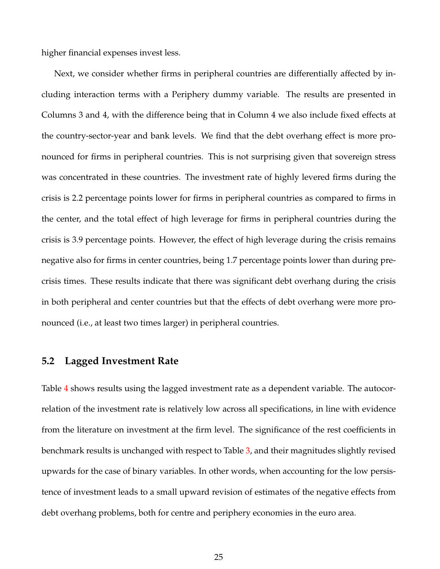higher financial expenses invest less.

Next, we consider whether firms in peripheral countries are differentially affected by including interaction terms with a Periphery dummy variable. The results are presented in Columns 3 and 4, with the difference being that in Column 4 we also include fixed effects at the country-sector-year and bank levels. We find that the debt overhang effect is more pronounced for firms in peripheral countries. This is not surprising given that sovereign stress was concentrated in these countries. The investment rate of highly levered firms during the crisis is 2.2 percentage points lower for firms in peripheral countries as compared to firms in the center, and the total effect of high leverage for firms in peripheral countries during the crisis is 3.9 percentage points. However, the effect of high leverage during the crisis remains negative also for firms in center countries, being 1.7 percentage points lower than during precrisis times. These results indicate that there was significant debt overhang during the crisis in both peripheral and center countries but that the effects of debt overhang were more pronounced (i.e., at least two times larger) in peripheral countries.

### **5.2 Lagged Investment Rate**

Table [4](#page-26-0) shows results using the lagged investment rate as a dependent variable. The autocorrelation of the investment rate is relatively low across all specifications, in line with evidence from the literature on investment at the firm level. The significance of the rest coefficients in benchmark results is unchanged with respect to Table [3,](#page-24-0) and their magnitudes slightly revised upwards for the case of binary variables. In other words, when accounting for the low persistence of investment leads to a small upward revision of estimates of the negative effects from debt overhang problems, both for centre and periphery economies in the euro area.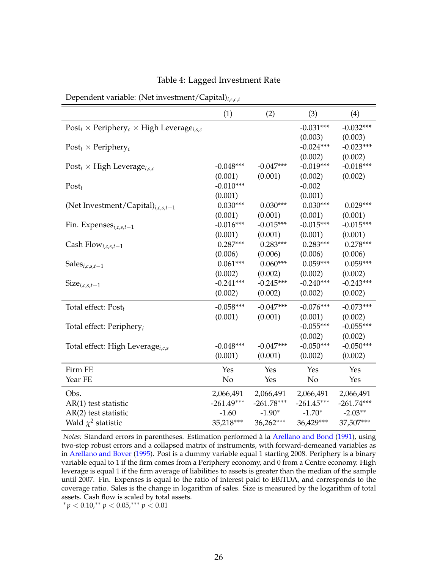|                                                                 | (1)          | (2)          | (3)          | (4)          |
|-----------------------------------------------------------------|--------------|--------------|--------------|--------------|
| $Post_t \times Periphery_c \times High \text{Leverage}_{i,s,c}$ |              |              | $-0.031***$  | $-0.032***$  |
|                                                                 |              |              | (0.003)      | (0.003)      |
| $Post_t \times Periphery_c$                                     |              |              | $-0.024***$  | $-0.023***$  |
|                                                                 |              |              | (0.002)      | (0.002)      |
| Post <sub>t</sub> $\times$ High Leverage <sub>i,s,c</sub>       | $-0.048***$  | $-0.047***$  | $-0.019***$  | $-0.018***$  |
|                                                                 | (0.001)      | (0.001)      | (0.002)      | (0.002)      |
| $Post_t$                                                        | $-0.010***$  |              | $-0.002$     |              |
|                                                                 | (0.001)      |              | (0.001)      |              |
| (Net Investment/Capital) $_{i,c,s,t-1}$                         | $0.030***$   | $0.030***$   | $0.030***$   | $0.029***$   |
|                                                                 | (0.001)      | (0.001)      | (0.001)      | (0.001)      |
| Fin. Expenses $_{i,c,s,t-1}$                                    | $-0.016***$  | $-0.015***$  | $-0.015***$  | $-0.015***$  |
|                                                                 | (0.001)      | (0.001)      | (0.001)      | (0.001)      |
| Cash Flow <sub>i,c,s,t-1</sub>                                  | $0.287***$   | $0.283***$   | $0.283***$   | $0.278***$   |
|                                                                 | (0.006)      | (0.006)      | (0.006)      | (0.006)      |
| Sales <sub>i,c,s,t-1</sub>                                      | $0.061***$   | $0.060***$   | $0.059***$   | $0.059***$   |
|                                                                 | (0.002)      | (0.002)      | (0.002)      | (0.002)      |
| $Size_{i,c,s,t-1}$                                              | $-0.241***$  | $-0.245***$  | $-0.240***$  | $-0.243***$  |
|                                                                 | (0.002)      | (0.002)      | (0.002)      | (0.002)      |
| Total effect: $Post_t$                                          | $-0.058***$  | $-0.047***$  | $-0.076***$  | $-0.073***$  |
|                                                                 | (0.001)      | (0.001)      | (0.001)      | (0.002)      |
| Total effect: Periphery <sub>i</sub>                            |              |              | $-0.055***$  | $-0.055***$  |
|                                                                 |              |              | (0.002)      | (0.002)      |
| Total effect: High Leverage <sub>i,c,s</sub>                    | $-0.048***$  | $-0.047***$  | $-0.050***$  | $-0.050***$  |
|                                                                 | (0.001)      | (0.001)      | (0.002)      | (0.002)      |
| Firm FE                                                         | Yes          | Yes          | Yes          | Yes          |
| Year FE                                                         | No           | Yes          | No           | Yes          |
| Obs.                                                            | 2,066,491    | 2,066,491    | 2,066,491    | 2,066,491    |
| AR(1) test statistic                                            | $-261.49***$ | $-261.78***$ | $-261.45***$ | $-261.74***$ |
| AR(2) test statistic                                            | $-1.60$      | $-1.90*$     | $-1.70*$     | $-2.03**$    |
| Wald $\chi^2$ statistic                                         | 35,218***    | 36,262***    | 36,429***    | 37,507***    |

#### Table 4: Lagged Investment Rate

<span id="page-26-0"></span>Dependent variable: (Net investment/Capital)*i*,*s*,*c*,*<sup>t</sup>*

*Notes:* Standard errors in parentheses. Estimation performed à la [Arellano and Bond](#page-39-13) [\(1991\)](#page-39-13), using two-step robust errors and a collapsed matrix of instruments, with forward-demeaned variables as in [Arellano and Bover](#page-39-14) [\(1995\)](#page-39-14). Post is a dummy variable equal 1 starting 2008. Periphery is a binary variable equal to 1 if the firm comes from a Periphery economy, and 0 from a Centre economy. High leverage is equal 1 if the firm average of liabilities to assets is greater than the median of the sample until 2007. Fin. Expenses is equal to the ratio of interest paid to EBITDA, and corresponds to the coverage ratio. Sales is the change in logarithm of sales. Size is measured by the logarithm of total assets. Cash flow is scaled by total assets.

<sup>∗</sup> *p* < 0.10,∗∗ *p* < 0.05,∗∗∗ *p* < 0.01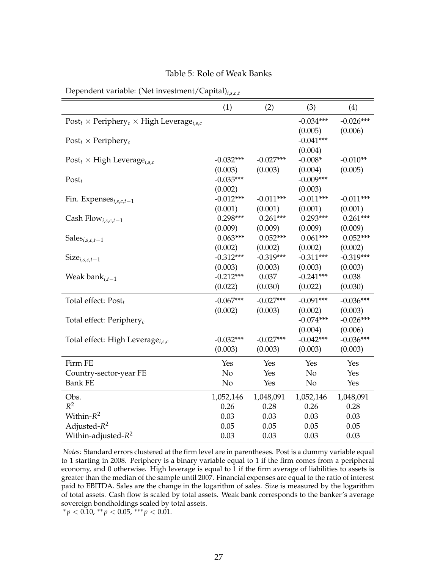<span id="page-27-0"></span>

|                                                                 | (1)         | (2)         | (3)         | (4)         |
|-----------------------------------------------------------------|-------------|-------------|-------------|-------------|
| $Post_t \times Periphery_c \times High \text{Leverage}_{i,s,c}$ |             |             | $-0.034***$ | $-0.026***$ |
|                                                                 |             |             | (0.005)     | (0.006)     |
| $Post_t \times Periphery_c$                                     |             |             | $-0.041***$ |             |
|                                                                 |             |             | (0.004)     |             |
| Post <sub>t</sub> $\times$ High Leverage <sub>i,s,c</sub>       | $-0.032***$ | $-0.027***$ | $-0.008*$   | $-0.010**$  |
|                                                                 | (0.003)     | (0.003)     | (0.004)     | (0.005)     |
| $Post_t$                                                        | $-0.035***$ |             | $-0.009***$ |             |
|                                                                 | (0.002)     |             | (0.003)     |             |
| Fin. Expenses $_{i,s,c,t-1}$                                    | $-0.012***$ | $-0.011***$ | $-0.011***$ | $-0.011***$ |
|                                                                 | (0.001)     | (0.001)     | (0.001)     | (0.001)     |
| Cash Flow <sub>i,s,c,t-1</sub>                                  | $0.298***$  | $0.261***$  | $0.293***$  | $0.261***$  |
|                                                                 | (0.009)     | (0.009)     | (0.009)     | (0.009)     |
| Sales $_{i,s,c,t-1}$                                            | $0.063***$  | $0.052***$  | $0.061***$  | $0.052***$  |
|                                                                 | (0.002)     | (0.002)     | (0.002)     | (0.002)     |
| $Size_{i,s,c,t-1}$                                              | $-0.312***$ | $-0.319***$ | $-0.311***$ | $-0.319***$ |
|                                                                 | (0.003)     | (0.003)     | (0.003)     | (0.003)     |
| Weak ban $k_{i,t-1}$                                            | $-0.212***$ | 0.037       | $-0.241***$ | 0.038       |
|                                                                 | (0.022)     | (0.030)     | (0.022)     | (0.030)     |
| Total effect: $Post_t$                                          | $-0.067***$ | $-0.027***$ | $-0.091***$ | $-0.036***$ |
|                                                                 | (0.002)     | (0.003)     | (0.002)     | (0.003)     |
| Total effect: Periphery <sub>c</sub>                            |             |             | $-0.074***$ | $-0.026***$ |
|                                                                 |             |             | (0.004)     | (0.006)     |
| Total effect: High Leverage <sub>i.s.c</sub>                    | $-0.032***$ | $-0.027***$ | $-0.042***$ | $-0.036***$ |
|                                                                 | (0.003)     | (0.003)     | (0.003)     | (0.003)     |
| Firm FE                                                         | Yes         | Yes         | Yes         | Yes         |
| Country-sector-year FE                                          | No          | Yes         | No          | Yes         |
| <b>Bank FE</b>                                                  | No          | Yes         | No          | Yes         |
| Obs.                                                            | 1,052,146   | 1,048,091   | 1,052,146   | 1,048,091   |
| $\mathbb{R}^2$                                                  | 0.26        | 0.28        | 0.26        | 0.28        |
| Within- $R^2$                                                   | 0.03        | 0.03        | 0.03        | 0.03        |
| Adjusted- $R^2$                                                 | 0.05        | 0.05        | 0.05        | 0.05        |
| Within-adjusted- $R^2$                                          | 0.03        | 0.03        | 0.03        | 0.03        |

Dependent variable: (Net investment/Capital)*i*,*s*,*c*,*<sup>t</sup>*

*Notes:* Standard errors clustered at the firm level are in parentheses. Post is a dummy variable equal to 1 starting in 2008. Periphery is a binary variable equal to 1 if the firm comes from a peripheral economy, and 0 otherwise. High leverage is equal to 1 if the firm average of liabilities to assets is greater than the median of the sample until 2007. Financial expenses are equal to the ratio of interest paid to EBITDA. Sales are the change in the logarithm of sales. Size is measured by the logarithm of total assets. Cash flow is scaled by total assets. Weak bank corresponds to the banker's average sovereign bondholdings scaled by total assets.

<sup>∗</sup> *p* < 0.10, ∗∗ *p* < 0.05, ∗∗∗ *p* < 0.01.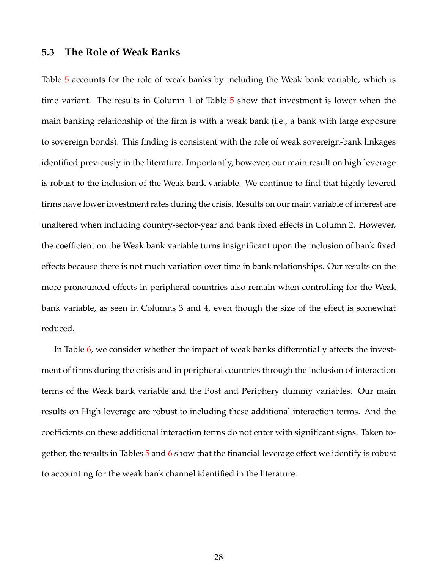### **5.3 The Role of Weak Banks**

Table [5](#page-27-0) accounts for the role of weak banks by including the Weak bank variable, which is time variant. The results in Column 1 of Table [5](#page-27-0) show that investment is lower when the main banking relationship of the firm is with a weak bank (i.e., a bank with large exposure to sovereign bonds). This finding is consistent with the role of weak sovereign-bank linkages identified previously in the literature. Importantly, however, our main result on high leverage is robust to the inclusion of the Weak bank variable. We continue to find that highly levered firms have lower investment rates during the crisis. Results on our main variable of interest are unaltered when including country-sector-year and bank fixed effects in Column 2. However, the coefficient on the Weak bank variable turns insignificant upon the inclusion of bank fixed effects because there is not much variation over time in bank relationships. Our results on the more pronounced effects in peripheral countries also remain when controlling for the Weak bank variable, as seen in Columns 3 and 4, even though the size of the effect is somewhat reduced.

In Table [6,](#page-29-0) we consider whether the impact of weak banks differentially affects the investment of firms during the crisis and in peripheral countries through the inclusion of interaction terms of the Weak bank variable and the Post and Periphery dummy variables. Our main results on High leverage are robust to including these additional interaction terms. And the coefficients on these additional interaction terms do not enter with significant signs. Taken together, the results in Tables [5](#page-27-0) and [6](#page-29-0) show that the financial leverage effect we identify is robust to accounting for the weak bank channel identified in the literature.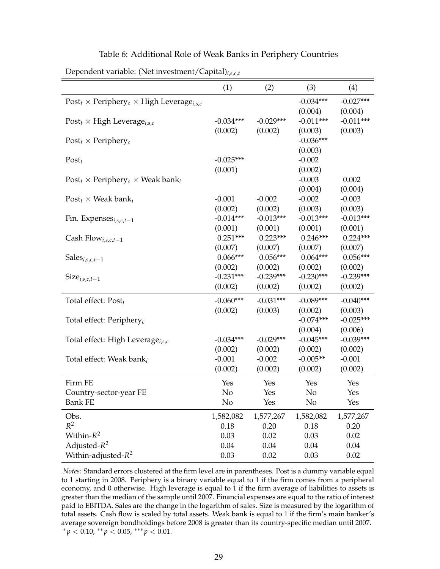|                                                                             | (1)         | (2)         | (3)         | (4)         |
|-----------------------------------------------------------------------------|-------------|-------------|-------------|-------------|
| Post <sub>t</sub> × Periphery <sub>c</sub> × High Leverage <sub>i.s.c</sub> |             |             | $-0.034***$ | $-0.027***$ |
|                                                                             |             |             | (0.004)     | (0.004)     |
| Post <sub>t</sub> $\times$ High Leverage <sub>i, s, c</sub>                 | $-0.034***$ | $-0.029***$ | $-0.011***$ | $-0.011***$ |
|                                                                             | (0.002)     | (0.002)     | (0.003)     | (0.003)     |
| $Post_t \times Periphery_c$                                                 |             |             | $-0.036***$ |             |
|                                                                             |             |             | (0.003)     |             |
| $Post_t$                                                                    | $-0.025***$ |             | $-0.002$    |             |
|                                                                             | (0.001)     |             | (0.002)     |             |
| $Post_t \times Periphery_c \times Weak bank_i$                              |             |             | $-0.003$    | 0.002       |
|                                                                             |             |             | (0.004)     | (0.004)     |
| $Post_t \times Weak bank_i$                                                 | $-0.001$    | $-0.002$    | $-0.002$    | $-0.003$    |
|                                                                             | (0.002)     | (0.002)     | (0.003)     | (0.003)     |
| Fin. Expenses <sub>i,s,c,t-1</sub>                                          | $-0.014***$ | $-0.013***$ | $-0.013***$ | $-0.013***$ |
|                                                                             | (0.001)     | (0.001)     | (0.001)     | (0.001)     |
| Cash Flow <sub>i,s,c,t-1</sub>                                              | $0.251***$  | $0.223***$  | $0.246***$  | $0.224***$  |
|                                                                             | (0.007)     | (0.007)     | (0.007)     | (0.007)     |
| Sales $_{i,s,c,t-1}$                                                        | $0.066***$  | $0.056***$  | $0.064***$  | $0.056***$  |
|                                                                             | (0.002)     | (0.002)     | (0.002)     | (0.002)     |
| $Size_{i,s,c,t-1}$                                                          | $-0.231***$ | $-0.239***$ | $-0.230***$ | $-0.239***$ |
|                                                                             | (0.002)     | (0.002)     | (0.002)     | (0.002)     |
| Total effect: $Post_t$                                                      | $-0.060***$ | $-0.031***$ | $-0.089***$ | $-0.040***$ |
|                                                                             | (0.002)     | (0.003)     | (0.002)     | (0.003)     |
| Total effect: Periphery <sub>c</sub>                                        |             |             | $-0.074***$ | $-0.025***$ |
|                                                                             |             |             | (0.004)     | (0.006)     |
| Total effect: High Leverage <sub>i.s.c</sub>                                | $-0.034***$ | $-0.029***$ | $-0.045***$ | $-0.039***$ |
|                                                                             | (0.002)     | (0.002)     | (0.002)     | (0.002)     |
| Total effect: Weak bank <sub>i</sub>                                        | $-0.001$    | $-0.002$    | $-0.005**$  | $-0.001$    |
|                                                                             | (0.002)     | (0.002)     | (0.002)     | (0.002)     |
| Firm FE                                                                     | Yes         | Yes         | Yes         | Yes         |
| Country-sector-year FE                                                      | No          | Yes         | No          | Yes         |
| <b>Bank FE</b>                                                              | No          | Yes         | No          | Yes         |
| Obs.                                                                        | 1,582,082   | 1,577,267   | 1,582,082   | 1,577,267   |
| $R^2$                                                                       | 0.18        | 0.20        | 0.18        | 0.20        |
| Within- $R^2$                                                               | 0.03        | 0.02        | 0.03        | 0.02        |
| Adjusted- $R^2$                                                             | 0.04        | 0.04        | 0.04        | 0.04        |
| Within-adjusted- $R^2$                                                      | 0.03        | 0.02        | 0.03        | 0.02        |

#### Table 6: Additional Role of Weak Banks in Periphery Countries

<span id="page-29-0"></span>Dependent variable: (Net investment/Capital)*i*,*s*,*c*,*<sup>t</sup>*

*Notes:* Standard errors clustered at the firm level are in parentheses. Post is a dummy variable equal to 1 starting in 2008. Periphery is a binary variable equal to 1 if the firm comes from a peripheral economy, and 0 otherwise. High leverage is equal to 1 if the firm average of liabilities to assets is greater than the median of the sample until 2007. Financial expenses are equal to the ratio of interest paid to EBITDA. Sales are the change in the logarithm of sales. Size is measured by the logarithm of total assets. Cash flow is scaled by total assets. Weak bank is equal to 1 if the firm's main banker's average sovereign bondholdings before 2008 is greater than its country-specific median until 2007. <sup>∗</sup> *p* < 0.10, ∗∗ *p* < 0.05, ∗∗∗ *p* < 0.01.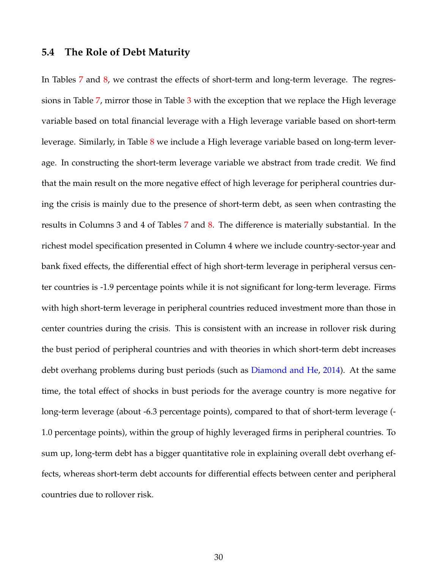## **5.4 The Role of Debt Maturity**

In Tables [7](#page-31-0) and [8,](#page-32-0) we contrast the effects of short-term and long-term leverage. The regressions in Table [7,](#page-31-0) mirror those in Table [3](#page-24-0) with the exception that we replace the High leverage variable based on total financial leverage with a High leverage variable based on short-term leverage. Similarly, in Table [8](#page-32-0) we include a High leverage variable based on long-term leverage. In constructing the short-term leverage variable we abstract from trade credit. We find that the main result on the more negative effect of high leverage for peripheral countries during the crisis is mainly due to the presence of short-term debt, as seen when contrasting the results in Columns 3 and 4 of Tables [7](#page-31-0) and [8.](#page-32-0) The difference is materially substantial. In the richest model specification presented in Column 4 where we include country-sector-year and bank fixed effects, the differential effect of high short-term leverage in peripheral versus center countries is -1.9 percentage points while it is not significant for long-term leverage. Firms with high short-term leverage in peripheral countries reduced investment more than those in center countries during the crisis. This is consistent with an increase in rollover risk during the bust period of peripheral countries and with theories in which short-term debt increases debt overhang problems during bust periods (such as [Diamond and He,](#page-40-4) [2014\)](#page-40-4). At the same time, the total effect of shocks in bust periods for the average country is more negative for long-term leverage (about -6.3 percentage points), compared to that of short-term leverage (- 1.0 percentage points), within the group of highly leveraged firms in peripheral countries. To sum up, long-term debt has a bigger quantitative role in explaining overall debt overhang effects, whereas short-term debt accounts for differential effects between center and peripheral countries due to rollover risk.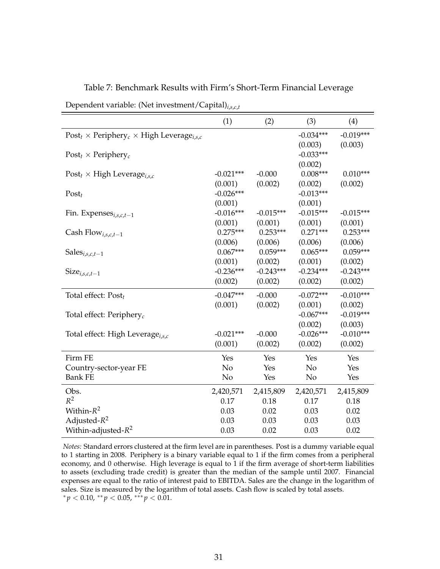|                                                                             | (1)         | (2)         | (3)            | (4)         |
|-----------------------------------------------------------------------------|-------------|-------------|----------------|-------------|
| Post <sub>t</sub> × Periphery <sub>c</sub> × High Leverage <sub>i.s.c</sub> |             |             | $-0.034***$    | $-0.019***$ |
|                                                                             |             |             | (0.003)        | (0.003)     |
| Post <sub>t</sub> $\times$ Periphery <sub>c</sub>                           |             |             | $-0.033***$    |             |
|                                                                             |             |             | (0.002)        |             |
| Post <sub>t</sub> $\times$ High Leverage <sub>i, s, c</sub>                 | $-0.021***$ | $-0.000$    | $0.008***$     | $0.010***$  |
|                                                                             | (0.001)     | (0.002)     | (0.002)        | (0.002)     |
| $Post_t$                                                                    | $-0.026***$ |             | $-0.013***$    |             |
|                                                                             | (0.001)     |             | (0.001)        |             |
| Fin. Expenses $_{i,s,c,t-1}$                                                | $-0.016***$ | $-0.015***$ | $-0.015***$    | $-0.015***$ |
|                                                                             | (0.001)     | (0.001)     | (0.001)        | (0.001)     |
| Cash Flow <sub>i,s,c,t-1</sub>                                              | $0.275***$  | $0.253***$  | $0.271***$     | $0.253***$  |
|                                                                             | (0.006)     | (0.006)     | (0.006)        | (0.006)     |
| Sales $_{i,s,c,t-1}$                                                        | $0.067***$  | $0.059***$  | $0.065***$     | $0.059***$  |
|                                                                             | (0.001)     | (0.002)     | (0.001)        | (0.002)     |
| $Size_{i,s,c,t-1}$                                                          | $-0.236***$ | $-0.243***$ | $-0.234***$    | $-0.243***$ |
|                                                                             | (0.002)     | (0.002)     | (0.002)        | (0.002)     |
| Total effect: $Post_t$                                                      | $-0.047***$ | $-0.000$    | $-0.072***$    | $-0.010***$ |
|                                                                             | (0.001)     | (0.002)     | (0.001)        | (0.002)     |
| Total effect: Periphery <sub>c</sub>                                        |             |             | $-0.067***$    | $-0.019***$ |
|                                                                             |             |             | (0.002)        | (0.003)     |
| Total effect: High Leverage <sub>i.s.c</sub>                                | $-0.021***$ | $-0.000$    | $-0.026***$    | $-0.010***$ |
|                                                                             | (0.001)     | (0.002)     | (0.002)        | (0.002)     |
| Firm FE                                                                     | Yes         | Yes         | Yes            | Yes         |
| Country-sector-year FE                                                      | No          | Yes         | N <sub>o</sub> | Yes         |
| <b>Bank FE</b>                                                              | No          | Yes         | N <sub>o</sub> | Yes         |
| Obs.                                                                        | 2,420,571   | 2,415,809   | 2,420,571      | 2,415,809   |
| $R^2$                                                                       | 0.17        | 0.18        | 0.17           | 0.18        |
| Within- $R^2$                                                               | 0.03        | 0.02        | 0.03           | 0.02        |
| Adjusted- $R^2$                                                             | 0.03        | 0.03        | 0.03           | 0.03        |
| Within-adjusted- $R^2$                                                      | 0.03        | 0.02        | 0.03           | 0.02        |

Table 7: Benchmark Results with Firm's Short-Term Financial Leverage

<span id="page-31-0"></span>Dependent variable: (Net investment/Capital)*i*,*s*,*c*,*<sup>t</sup>*

*Notes:* Standard errors clustered at the firm level are in parentheses. Post is a dummy variable equal to 1 starting in 2008. Periphery is a binary variable equal to 1 if the firm comes from a peripheral economy, and 0 otherwise. High leverage is equal to  $1$  if the firm average of short-term liabilities to assets (excluding trade credit) is greater than the median of the sample until 2007. Financial expenses are equal to the ratio of interest paid to EBITDA. Sales are the change in the logarithm of sales. Size is measured by the logarithm of total assets. Cash flow is scaled by total assets.  $p^* p < 0.10, \, \binom{p}{2} < 0.05, \, \binom{p}{2} < 0.01.$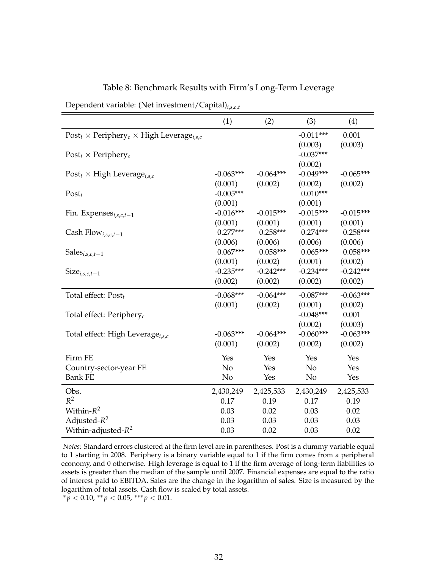|                                                                             | (1)         | (2)         | (3)         | (4)         |
|-----------------------------------------------------------------------------|-------------|-------------|-------------|-------------|
| Post <sub>t</sub> × Periphery <sub>c</sub> × High Leverage <sub>i.s.c</sub> |             |             | $-0.011***$ | 0.001       |
|                                                                             |             |             | (0.003)     | (0.003)     |
| Post <sub>t</sub> $\times$ Periphery <sub>c</sub>                           |             |             | $-0.037***$ |             |
|                                                                             |             |             | (0.002)     |             |
| Post <sub>t</sub> $\times$ High Leverage <sub>i,s,c</sub>                   | $-0.063***$ | $-0.064***$ | $-0.049***$ | $-0.065***$ |
|                                                                             | (0.001)     | (0.002)     | (0.002)     | (0.002)     |
| $Post_t$                                                                    | $-0.005***$ |             | $0.010***$  |             |
|                                                                             | (0.001)     |             | (0.001)     |             |
| Fin. Expenses $_{i,s,c,t-1}$                                                | $-0.016***$ | $-0.015***$ | $-0.015***$ | $-0.015***$ |
|                                                                             | (0.001)     | (0.001)     | (0.001)     | (0.001)     |
| Cash Flow <sub>i,s,c,t-1</sub>                                              | $0.277***$  | $0.258***$  | $0.274***$  | $0.258***$  |
|                                                                             | (0.006)     | (0.006)     | (0.006)     | (0.006)     |
| Sales $_{i,s,c,t-1}$                                                        | $0.067***$  | $0.058***$  | $0.065***$  | $0.058***$  |
|                                                                             | (0.001)     | (0.002)     | (0.001)     | (0.002)     |
| $Size_{i,s,c,t-1}$                                                          | $-0.235***$ | $-0.242***$ | $-0.234***$ | $-0.242***$ |
|                                                                             | (0.002)     | (0.002)     | (0.002)     | (0.002)     |
| Total effect: $Post_t$                                                      | $-0.068***$ | $-0.064***$ | $-0.087***$ | $-0.063***$ |
|                                                                             | (0.001)     | (0.002)     | (0.001)     | (0.002)     |
| Total effect: Periphery <sub>c</sub>                                        |             |             | $-0.048***$ | 0.001       |
|                                                                             |             |             | (0.002)     | (0.003)     |
| Total effect: High Leverage <sub>i.s.c</sub>                                | $-0.063***$ | $-0.064***$ | $-0.060***$ | $-0.063***$ |
|                                                                             | (0.001)     | (0.002)     | (0.002)     | (0.002)     |
| Firm FE                                                                     | Yes         | Yes         | Yes         | Yes         |
| Country-sector-year FE                                                      | No          | Yes         | No          | Yes         |
| <b>Bank FE</b>                                                              | No          | Yes         | No          | Yes         |
| Obs.                                                                        | 2,430,249   | 2,425,533   | 2,430,249   | 2,425,533   |
| $R^2$                                                                       | 0.17        | 0.19        | 0.17        | 0.19        |
| Within- $R^2$                                                               | 0.03        | 0.02        | 0.03        | 0.02        |
| Adjusted- $R^2$                                                             | 0.03        | 0.03        | 0.03        | 0.03        |
| Within-adjusted- $R^2$                                                      | 0.03        | 0.02        | 0.03        | 0.02        |

Table 8: Benchmark Results with Firm's Long-Term Leverage

<span id="page-32-0"></span>Dependent variable: (Net investment/Capital)*i*,*s*,*c*,*<sup>t</sup>*

*Notes:* Standard errors clustered at the firm level are in parentheses. Post is a dummy variable equal to 1 starting in 2008. Periphery is a binary variable equal to 1 if the firm comes from a peripheral economy, and 0 otherwise. High leverage is equal to 1 if the firm average of long-term liabilities to assets is greater than the median of the sample until 2007. Financial expenses are equal to the ratio of interest paid to EBITDA. Sales are the change in the logarithm of sales. Size is measured by the logarithm of total assets. Cash flow is scaled by total assets.

 $\frac{p}{p}$  < 0.10,  $\frac{p}{p}$  < 0.05,  $\frac{p}{p}$  < 0.01.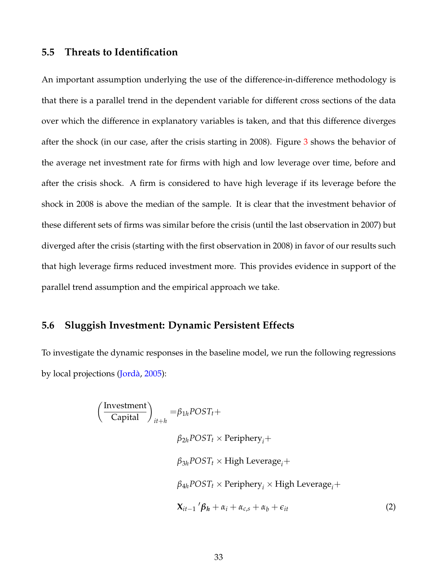### **5.5 Threats to Identification**

An important assumption underlying the use of the difference-in-difference methodology is that there is a parallel trend in the dependent variable for different cross sections of the data over which the difference in explanatory variables is taken, and that this difference diverges after the shock (in our case, after the crisis starting in 2008). Figure [3](#page-34-0) shows the behavior of the average net investment rate for firms with high and low leverage over time, before and after the crisis shock. A firm is considered to have high leverage if its leverage before the shock in 2008 is above the median of the sample. It is clear that the investment behavior of these different sets of firms was similar before the crisis (until the last observation in 2007) but diverged after the crisis (starting with the first observation in 2008) in favor of our results such that high leverage firms reduced investment more. This provides evidence in support of the parallel trend assumption and the empirical approach we take.

## **5.6 Sluggish Investment: Dynamic Persistent Effects**

To investigate the dynamic responses in the baseline model, we run the following regressions by local projections [\(Jordà,](#page-41-3) [2005\)](#page-41-3):

$$
\left(\frac{\text{Investment}}{\text{Capital}}\right)_{it+h} = \beta_{1h} POST_t +
$$
\n
$$
\beta_{2h} POST_t \times \text{Periphery}_i +
$$
\n
$$
\beta_{3h} POST_t \times \text{High Leverage}_i +
$$
\n
$$
\beta_{4h} POST_t \times \text{Periphery}_i \times \text{High Leverage}_i +
$$
\n
$$
X_{it-1} \, ' \beta_h + \alpha_i + \alpha_{cs} + \alpha_b + \epsilon_{it}
$$
\n(2)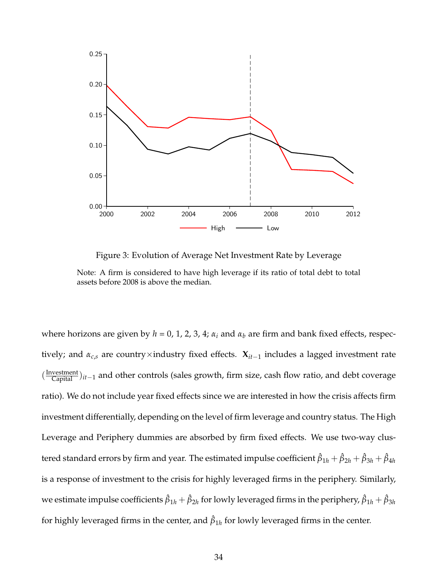<span id="page-34-0"></span>

Figure 3: Evolution of Average Net Investment Rate by Leverage Note: A firm is considered to have high leverage if its ratio of total debt to total assets before 2008 is above the median.

where horizons are given by  $h = 0$ , 1, 2, 3, 4;  $\alpha_i$  and  $\alpha_b$  are firm and bank fixed effects, respectively; and *αc*,*<sup>s</sup>* are country×industry fixed effects. **X***it*−<sup>1</sup> includes a lagged investment rate ( Investment Capital )*it*−<sup>1</sup> and other controls (sales growth, firm size, cash flow ratio, and debt coverage ratio). We do not include year fixed effects since we are interested in how the crisis affects firm investment differentially, depending on the level of firm leverage and country status. The High Leverage and Periphery dummies are absorbed by firm fixed effects. We use two-way clustered standard errors by firm and year. The estimated impulse coefficient  $\hat\beta_{1h}+\hat\beta_{2h}+\hat\beta_{3h}+\hat\beta_{4h}$ is a response of investment to the crisis for highly leveraged firms in the periphery. Similarly, we estimate impulse coefficients  $\hat\beta_{1h}+\hat\beta_{2h}$  for lowly leveraged firms in the periphery,  $\hat\beta_{1h}+\hat\beta_{3h}$ for highly leveraged firms in the center, and  $\hat{\beta}_{1h}$  for lowly leveraged firms in the center.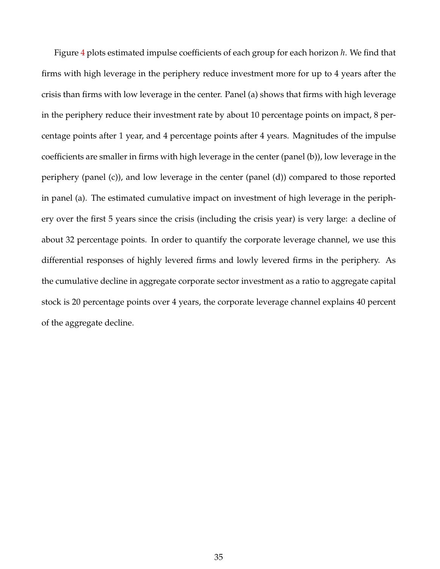Figure [4](#page-36-0) plots estimated impulse coefficients of each group for each horizon *h*. We find that firms with high leverage in the periphery reduce investment more for up to 4 years after the crisis than firms with low leverage in the center. Panel (a) shows that firms with high leverage in the periphery reduce their investment rate by about 10 percentage points on impact, 8 percentage points after 1 year, and 4 percentage points after 4 years. Magnitudes of the impulse coefficients are smaller in firms with high leverage in the center (panel (b)), low leverage in the periphery (panel (c)), and low leverage in the center (panel (d)) compared to those reported in panel (a). The estimated cumulative impact on investment of high leverage in the periphery over the first 5 years since the crisis (including the crisis year) is very large: a decline of about 32 percentage points. In order to quantify the corporate leverage channel, we use this differential responses of highly levered firms and lowly levered firms in the periphery. As the cumulative decline in aggregate corporate sector investment as a ratio to aggregate capital stock is 20 percentage points over 4 years, the corporate leverage channel explains 40 percent of the aggregate decline.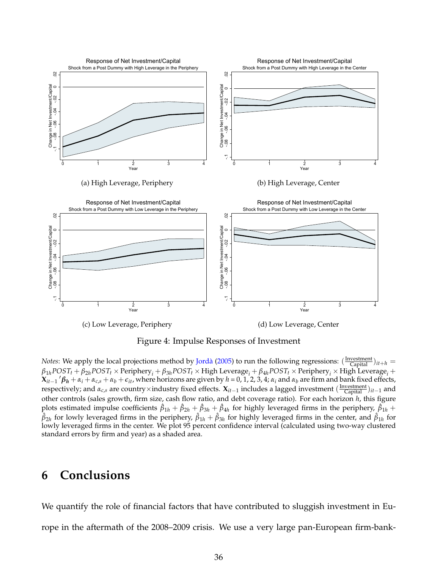<span id="page-36-0"></span>

Figure 4: Impulse Responses of Investment

*Notes*: We apply the local projections method by [Jordà](#page-41-3) [\(2005\)](#page-41-3) to run the following regressions:  $(\frac{Investment}{Capital})_{it+h}$  $\beta_{1h}$ POST<sub>t</sub> +  $\beta_{2h}$ POST<sub>t</sub> × Periphery<sub>i</sub> +  $\beta_{3h}$ POST<sub>t</sub> × High Leverage<sub>i</sub> +  $\beta_{4h}$ POST<sub>t</sub> × Periphery<sub>i</sub> × High Leverage<sub>i</sub> +  $X_{it-1}$  ' $\beta_h + \alpha_i + \alpha_{c,s} + \alpha_b + \epsilon_{it}$ , where horizons are given by  $h = 0, 1, 2, 3, 4$ ;  $\alpha_i$  and  $\alpha_b$  are firm and bank fixed effects, respectively; and *αc*,*<sup>s</sup>* are country×industry fixed effects. **X***it*−<sup>1</sup> includes a lagged investment ( Investment Capital )*it*−<sup>1</sup> and other controls (sales growth, firm size, cash flow ratio, and debt coverage ratio). For each horizon *h*, this figure plots estimated impulse coefficients  $\hat{\beta}_{1h}+\hat{\beta}_{2h}+\hat{\beta}_{3h}+\hat{\beta}_{4h}$  for highly leveraged firms in the periphery,  $\hat{\beta}_{1h}+$  $\hat\beta_{2h}$  for lowly leveraged firms in the periphery,  $\hat\beta_{1h}+\hat\beta_{3h}$  for highly leveraged firms in the center, and  $\hat\beta_{1h}$  for lowly leveraged firms in the center. We plot 95 percent confidence interval (calculated using two-way clustered standard errors by firm and year) as a shaded area.

# **6 Conclusions**

We quantify the role of financial factors that have contributed to sluggish investment in Europe in the aftermath of the 2008–2009 crisis. We use a very large pan-European firm-bank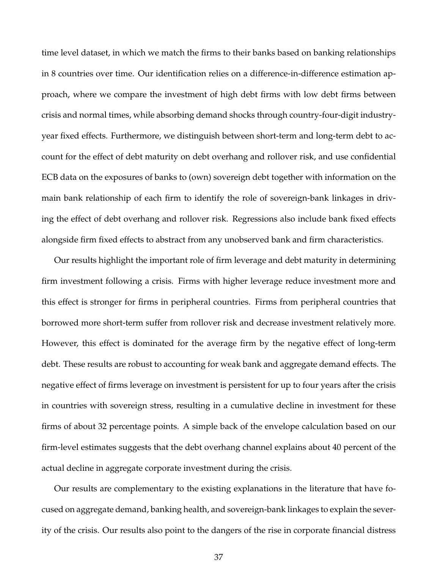time level dataset, in which we match the firms to their banks based on banking relationships in 8 countries over time. Our identification relies on a difference-in-difference estimation approach, where we compare the investment of high debt firms with low debt firms between crisis and normal times, while absorbing demand shocks through country-four-digit industryyear fixed effects. Furthermore, we distinguish between short-term and long-term debt to account for the effect of debt maturity on debt overhang and rollover risk, and use confidential ECB data on the exposures of banks to (own) sovereign debt together with information on the main bank relationship of each firm to identify the role of sovereign-bank linkages in driving the effect of debt overhang and rollover risk. Regressions also include bank fixed effects alongside firm fixed effects to abstract from any unobserved bank and firm characteristics.

Our results highlight the important role of firm leverage and debt maturity in determining firm investment following a crisis. Firms with higher leverage reduce investment more and this effect is stronger for firms in peripheral countries. Firms from peripheral countries that borrowed more short-term suffer from rollover risk and decrease investment relatively more. However, this effect is dominated for the average firm by the negative effect of long-term debt. These results are robust to accounting for weak bank and aggregate demand effects. The negative effect of firms leverage on investment is persistent for up to four years after the crisis in countries with sovereign stress, resulting in a cumulative decline in investment for these firms of about 32 percentage points. A simple back of the envelope calculation based on our firm-level estimates suggests that the debt overhang channel explains about 40 percent of the actual decline in aggregate corporate investment during the crisis.

Our results are complementary to the existing explanations in the literature that have focused on aggregate demand, banking health, and sovereign-bank linkages to explain the severity of the crisis. Our results also point to the dangers of the rise in corporate financial distress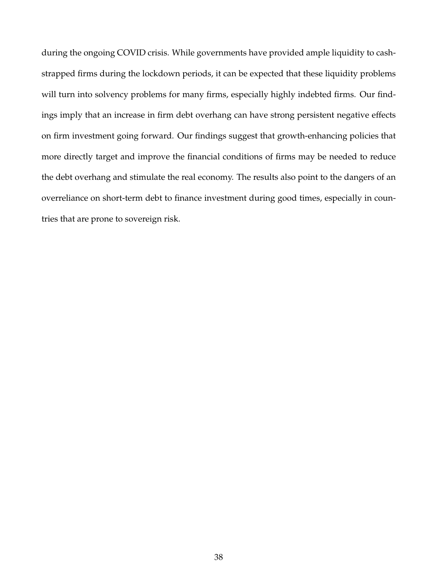during the ongoing COVID crisis. While governments have provided ample liquidity to cashstrapped firms during the lockdown periods, it can be expected that these liquidity problems will turn into solvency problems for many firms, especially highly indebted firms. Our findings imply that an increase in firm debt overhang can have strong persistent negative effects on firm investment going forward. Our findings suggest that growth-enhancing policies that more directly target and improve the financial conditions of firms may be needed to reduce the debt overhang and stimulate the real economy. The results also point to the dangers of an overreliance on short-term debt to finance investment during good times, especially in countries that are prone to sovereign risk.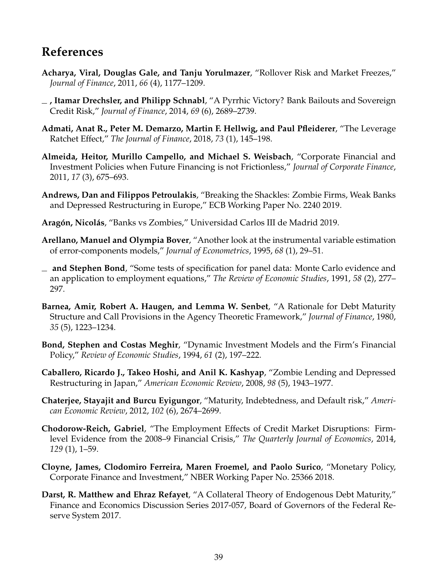# **References**

- <span id="page-39-11"></span>**Acharya, Viral, Douglas Gale, and Tanju Yorulmazer**, "Rollover Risk and Market Freezes," *Journal of Finance*, 2011, *66* (4), 1177–1209.
- <span id="page-39-0"></span>**, Itamar Drechsler, and Philipp Schnabl**, "A Pyrrhic Victory? Bank Bailouts and Sovereign Credit Risk," *Journal of Finance*, 2014, *69* (6), 2689–2739.
- <span id="page-39-2"></span>**Admati, Anat R., Peter M. Demarzo, Martin F. Hellwig, and Paul Pfleiderer**, "The Leverage Ratchet Effect," *The Journal of Finance*, 2018, *73* (1), 145–198.
- <span id="page-39-5"></span>**Almeida, Heitor, Murillo Campello, and Michael S. Weisbach**, "Corporate Financial and Investment Policies when Future Financing is not Frictionless," *Journal of Corporate Finance*, 2011, *17* (3), 675–693.
- <span id="page-39-7"></span>**Andrews, Dan and Filippos Petroulakis**, "Breaking the Shackles: Zombie Firms, Weak Banks and Depressed Restructuring in Europe," ECB Working Paper No. 2240 2019.
- <span id="page-39-3"></span>**Aragón, Nicolás**, "Banks vs Zombies," Universidad Carlos III de Madrid 2019.
- <span id="page-39-14"></span>**Arellano, Manuel and Olympia Bover**, "Another look at the instrumental variable estimation of error-components models," *Journal of Econometrics*, 1995, *68* (1), 29–51.
- <span id="page-39-13"></span>**and Stephen Bond**, "Some tests of specification for panel data: Monte Carlo evidence and an application to employment equations," *The Review of Economic Studies*, 1991, *58* (2), 277– 297.
- <span id="page-39-6"></span>**Barnea, Amir, Robert A. Haugen, and Lemma W. Senbet**, "A Rationale for Debt Maturity Structure and Call Provisions in the Agency Theoretic Framework," *Journal of Finance*, 1980, *35* (5), 1223–1234.
- <span id="page-39-4"></span>**Bond, Stephen and Costas Meghir**, "Dynamic Investment Models and the Firm's Financial Policy," *Review of Economic Studies*, 1994, *61* (2), 197–222.
- <span id="page-39-8"></span>**Caballero, Ricardo J., Takeo Hoshi, and Anil K. Kashyap**, "Zombie Lending and Depressed Restructuring in Japan," *American Economic Review*, 2008, *98* (5), 1943–1977.
- <span id="page-39-10"></span>**Chaterjee, Stayajit and Burcu Eyigungor**, "Maturity, Indebtedness, and Default risk," *American Economic Review*, 2012, *102* (6), 2674–2699.
- <span id="page-39-12"></span>**Chodorow-Reich, Gabriel**, "The Employment Effects of Credit Market Disruptions: Firmlevel Evidence from the 2008–9 Financial Crisis," *The Quarterly Journal of Economics*, 2014, *129* (1), 1–59.
- <span id="page-39-1"></span>**Cloyne, James, Clodomiro Ferreira, Maren Froemel, and Paolo Surico**, "Monetary Policy, Corporate Finance and Investment," NBER Working Paper No. 25366 2018.
- <span id="page-39-9"></span>**Darst, R. Matthew and Ehraz Refayet**, "A Collateral Theory of Endogenous Debt Maturity," Finance and Economics Discussion Series 2017-057, Board of Governors of the Federal Reserve System 2017.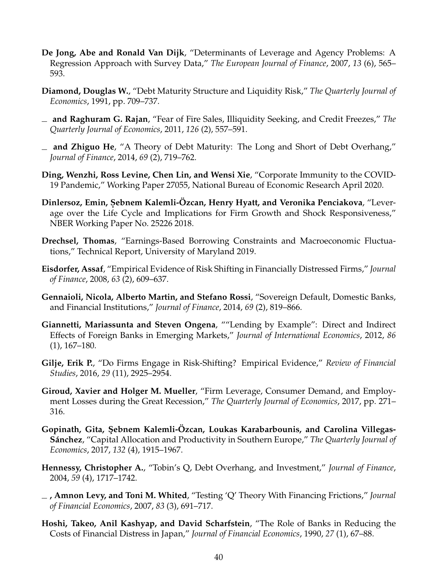- <span id="page-40-9"></span>**De Jong, Abe and Ronald Van Dijk**, "Determinants of Leverage and Agency Problems: A Regression Approach with Survey Data," *The European Journal of Finance*, 2007, *13* (6), 565– 593.
- <span id="page-40-13"></span>**Diamond, Douglas W.**, "Debt Maturity Structure and Liquidity Risk," *The Quarterly Journal of Economics*, 1991, pp. 709–737.
- <span id="page-40-8"></span>**and Raghuram G. Rajan**, "Fear of Fire Sales, Illiquidity Seeking, and Credit Freezes," *The Quarterly Journal of Economics*, 2011, *126* (2), 557–591.
- <span id="page-40-4"></span>**and Zhiguo He**, "A Theory of Debt Maturity: The Long and Short of Debt Overhang," *Journal of Finance*, 2014, *69* (2), 719–762.
- <span id="page-40-1"></span>**Ding, Wenzhi, Ross Levine, Chen Lin, and Wensi Xie**, "Corporate Immunity to the COVID-19 Pandemic," Working Paper 27055, National Bureau of Economic Research April 2020.
- <span id="page-40-3"></span> $\bm{\mathrm{D}}$ inlersoz, Emin, Şebnem Kalemli-Ozcan, Henry Hyatt, and Veronika Penciakova, "Leverage over the Life Cycle and Implications for Firm Growth and Shock Responsiveness," NBER Working Paper No. 25226 2018.
- <span id="page-40-2"></span>**Drechsel, Thomas**, "Earnings-Based Borrowing Constraints and Macroeconomic Fluctuations," Technical Report, University of Maryland 2019.
- <span id="page-40-10"></span>**Eisdorfer, Assaf**, "Empirical Evidence of Risk Shifting in Financially Distressed Firms," *Journal of Finance*, 2008, *63* (2), 609–637.
- <span id="page-40-0"></span>**Gennaioli, Nicola, Alberto Martin, and Stefano Rossi**, "Sovereign Default, Domestic Banks, and Financial Institutions," *Journal of Finance*, 2014, *69* (2), 819–866.
- <span id="page-40-15"></span>**Giannetti, Mariassunta and Steven Ongena**, ""Lending by Example": Direct and Indirect Effects of Foreign Banks in Emerging Markets," *Journal of International Economics*, 2012, *86* (1), 167–180.
- <span id="page-40-11"></span>**Gilje, Erik P.**, "Do Firms Engage in Risk-Shifting? Empirical Evidence," *Review of Financial Studies*, 2016, *29* (11), 2925–2954.
- <span id="page-40-6"></span>**Giroud, Xavier and Holger M. Mueller**, "Firm Leverage, Consumer Demand, and Employment Losses during the Great Recession," *The Quarterly Journal of Economics*, 2017, pp. 271– 316.
- <span id="page-40-5"></span>**Gopinath, Gita, ¸Sebnem Kalemli-Özcan, Loukas Karabarbounis, and Carolina Villegas-Sánchez**, "Capital Allocation and Productivity in Southern Europe," *The Quarterly Journal of Economics*, 2017, *132* (4), 1915–1967.
- <span id="page-40-7"></span>**Hennessy, Christopher A.**, "Tobin's Q, Debt Overhang, and Investment," *Journal of Finance*, 2004, *59* (4), 1717–1742.
- <span id="page-40-14"></span>**, Amnon Levy, and Toni M. Whited**, "Testing 'Q' Theory With Financing Frictions," *Journal of Financial Economics*, 2007, *83* (3), 691–717.
- <span id="page-40-12"></span>**Hoshi, Takeo, Anil Kashyap, and David Scharfstein**, "The Role of Banks in Reducing the Costs of Financial Distress in Japan," *Journal of Financial Economics*, 1990, *27* (1), 67–88.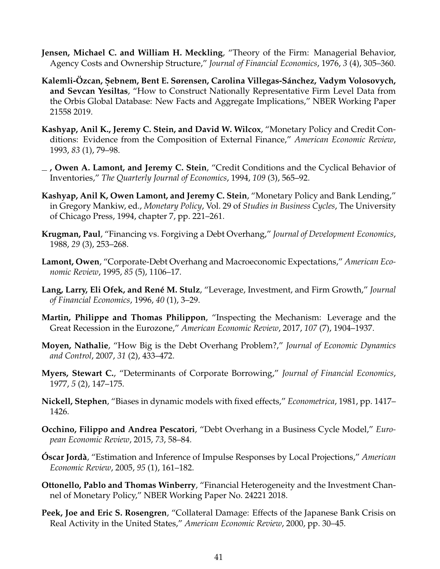- <span id="page-41-9"></span>**Jensen, Michael C. and William H. Meckling**, "Theory of the Firm: Managerial Behavior, Agency Costs and Ownership Structure," *Journal of Financial Economics*, 1976, *3* (4), 305–360.
- <span id="page-41-8"></span>Kalemli-Ozcan, Şebnem, Bent E. Sørensen, Carolina Villegas-Sánchez, Vadym Volosovych, **and Sevcan Yesiltas**, "How to Construct Nationally Representative Firm Level Data from the Orbis Global Database: New Facts and Aggregate Implications," NBER Working Paper 21558 2019.
- <span id="page-41-4"></span>**Kashyap, Anil K., Jeremy C. Stein, and David W. Wilcox**, "Monetary Policy and Credit Conditions: Evidence from the Composition of External Finance," *American Economic Review*, 1993, *83* (1), 79–98.
- <span id="page-41-5"></span>**, Owen A. Lamont, and Jeremy C. Stein**, "Credit Conditions and the Cyclical Behavior of Inventories," *The Quarterly Journal of Economics*, 1994, *109* (3), 565–92.
- <span id="page-41-6"></span>**Kashyap, Anil K, Owen Lamont, and Jeremy C. Stein**, "Monetary Policy and Bank Lending," in Gregory Mankiw, ed., *Monetary Policy*, Vol. 29 of *Studies in Business Cycles*, The University of Chicago Press, 1994, chapter 7, pp. 221–261.
- <span id="page-41-2"></span>**Krugman, Paul**, "Financing vs. Forgiving a Debt Overhang," *Journal of Development Economics*, 1988, *29* (3), 253–268.
- <span id="page-41-14"></span>**Lamont, Owen**, "Corporate-Debt Overhang and Macroeconomic Expectations," *American Economic Review*, 1995, *85* (5), 1106–17.
- <span id="page-41-10"></span>**Lang, Larry, Eli Ofek, and René M. Stulz**, "Leverage, Investment, and Firm Growth," *Journal of Financial Economics*, 1996, *40* (1), 3–29.
- <span id="page-41-0"></span>**Martin, Philippe and Thomas Philippon**, "Inspecting the Mechanism: Leverage and the Great Recession in the Eurozone," *American Economic Review*, 2017, *107* (7), 1904–1937.
- <span id="page-41-11"></span>**Moyen, Nathalie**, "How Big is the Debt Overhang Problem?," *Journal of Economic Dynamics and Control*, 2007, *31* (2), 433–472.
- <span id="page-41-1"></span>**Myers, Stewart C.**, "Determinants of Corporate Borrowing," *Journal of Financial Economics*, 1977, *5* (2), 147–175.
- <span id="page-41-15"></span>**Nickell, Stephen**, "Biases in dynamic models with fixed effects," *Econometrica*, 1981, pp. 1417– 1426.
- <span id="page-41-12"></span>**Occhino, Filippo and Andrea Pescatori**, "Debt Overhang in a Business Cycle Model," *European Economic Review*, 2015, *73*, 58–84.
- <span id="page-41-3"></span>**Óscar Jordà**, "Estimation and Inference of Impulse Responses by Local Projections," *American Economic Review*, 2005, *95* (1), 161–182.
- <span id="page-41-7"></span>**Ottonello, Pablo and Thomas Winberry**, "Financial Heterogeneity and the Investment Channel of Monetary Policy," NBER Working Paper No. 24221 2018.
- <span id="page-41-13"></span>**Peek, Joe and Eric S. Rosengren**, "Collateral Damage: Effects of the Japanese Bank Crisis on Real Activity in the United States," *American Economic Review*, 2000, pp. 30–45.